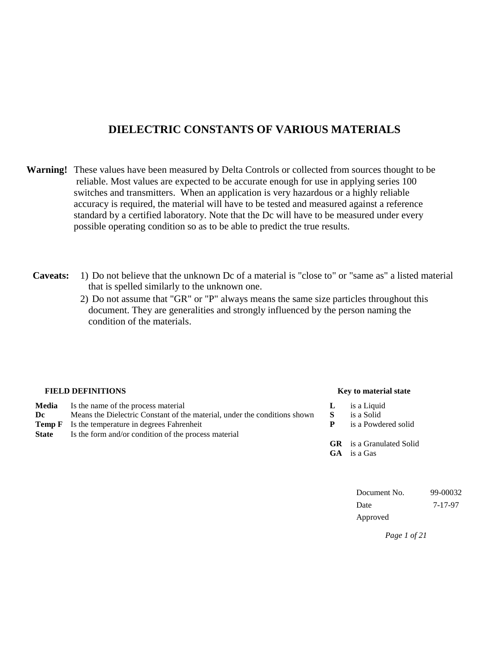#### **DIELECTRIC CONSTANTS OF VARIOUS MATERIALS**

- **Warning!** These values have been measured by Delta Controls or collected from sources thought to be reliable. Most values are expected to be accurate enough for use in applying series 100 switches and transmitters. When an application is very hazardous or a highly reliable accuracy is required, the material will have to be tested and measured against a reference standard by a certified laboratory. Note that the Dc will have to be measured under every possible operating condition so as to be able to predict the true results.
	- **Caveats:** 1) Do not believe that the unknown Dc of a material is "close to" or "same as" a listed material that is spelled similarly to the unknown one.
		- 2) Do not assume that "GR" or "P" always means the same size particles throughout this document. They are generalities and strongly influenced by the person naming the condition of the materials.

| Key to material state           |
|---------------------------------|
| is a Liquid                     |
| is a Solid                      |
| is a Powdered solid             |
|                                 |
| <b>GR</b> is a Granulated Solid |
| <b>GA</b> is a Gas              |
|                                 |
|                                 |

Document No. 99-00032 Date 7-17-97 Approved

*Page 1 of 21*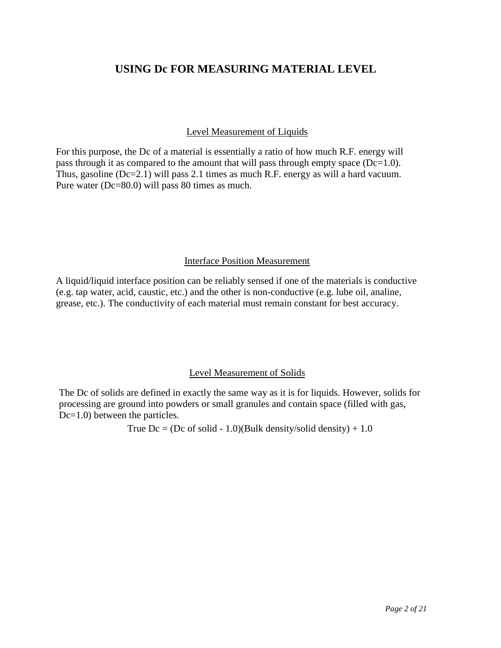#### **USING Dc FOR MEASURING MATERIAL LEVEL**

#### Level Measurement of Liquids

For this purpose, the Dc of a material is essentially a ratio of how much R.F. energy will pass through it as compared to the amount that will pass through empty space  $(Dc=1.0)$ . Thus, gasoline (Dc=2.1) will pass 2.1 times as much R.F. energy as will a hard vacuum. Pure water (Dc=80.0) will pass 80 times as much.

#### Interface Position Measurement

A liquid/liquid interface position can be reliably sensed if one of the materials is conductive (e.g. tap water, acid, caustic, etc.) and the other is non-conductive (e.g. lube oil, analine, grease, etc.). The conductivity of each material must remain constant for best accuracy.

#### Level Measurement of Solids

The Dc of solids are defined in exactly the same way as it is for liquids. However, solids for processing are ground into powders or small granules and contain space (filled with gas, Dc=1.0) between the particles.

True  $Dc = (Dc \text{ of solid - } 1.0)(Bulk density/solid density) + 1.0$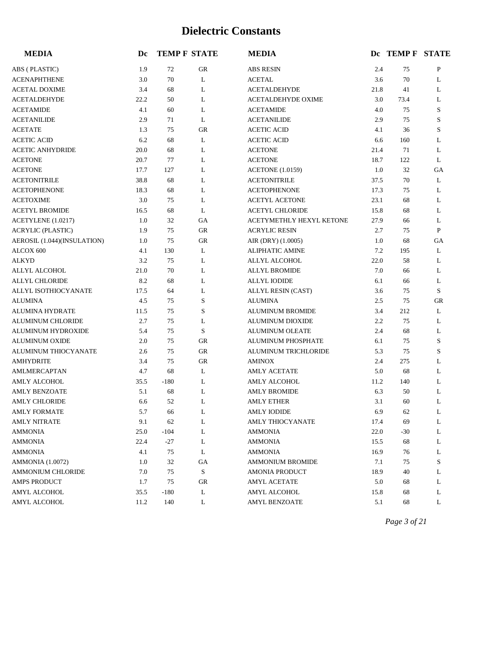| <b>MEDIA</b>                | Dc   |        | <b>TEMP F STATE</b> | <b>MEDIA</b>              |      | Dc TEMP F STATE |             |
|-----------------------------|------|--------|---------------------|---------------------------|------|-----------------|-------------|
| ABS (PLASTIC)               | 1.9  | 72     | GR                  | <b>ABS RESIN</b>          | 2.4  | 75              | P           |
| <b>ACENAPHTHENE</b>         | 3.0  | 70     | L                   | <b>ACETAL</b>             | 3.6  | 70              | L           |
| <b>ACETAL DOXIME</b>        | 3.4  | 68     | L                   | <b>ACETALDEHYDE</b>       | 21.8 | 41              | L           |
| <b>ACETALDEHYDE</b>         | 22.2 | 50     | L                   | <b>ACETALDEHYDE OXIME</b> | 3.0  | 73.4            | L           |
| <b>ACETAMIDE</b>            | 4.1  | 60     | L                   | <b>ACETAMIDE</b>          | 4.0  | 75              | S           |
| <b>ACETANILIDE</b>          | 2.9  | 71     | L                   | <b>ACETANILIDE</b>        | 2.9  | 75              | $\mathbf S$ |
| <b>ACETATE</b>              | 1.3  | 75     | GR                  | <b>ACETIC ACID</b>        | 4.1  | 36              | $\mathbf S$ |
| <b>ACETIC ACID</b>          | 6.2  | 68     | L                   | <b>ACETIC ACID</b>        | 6.6  | 160             | L           |
| <b>ACETIC ANHYDRIDE</b>     | 20.0 | 68     | L                   | <b>ACETONE</b>            | 21.4 | 71              | L           |
| <b>ACETONE</b>              | 20.7 | 77     | L                   | <b>ACETONE</b>            | 18.7 | 122             | L           |
| <b>ACETONE</b>              | 17.7 | 127    | L                   | <b>ACETONE</b> (1.0159)   | 1.0  | 32              | GA          |
| <b>ACETONITRILE</b>         | 38.8 | 68     | L                   | <b>ACETONITRILE</b>       | 37.5 | 70              | L           |
| <b>ACETOPHENONE</b>         | 18.3 | 68     | L                   | <b>ACETOPHENONE</b>       | 17.3 | 75              | L           |
| <b>ACETOXIME</b>            | 3.0  | 75     | L                   | <b>ACETYL ACETONE</b>     | 23.1 | 68              | L           |
| <b>ACETYL BROMIDE</b>       | 16.5 | 68     | L                   | <b>ACETYL CHLORIDE</b>    | 15.8 | 68              | L           |
| ACETYLENE (1.0217)          | 1.0  | 32     | GA                  | ACETYMETHLY HEXYL KETONE  | 27.9 | 66              | L           |
| <b>ACRYLIC (PLASTIC)</b>    | 1.9  | 75     | <b>GR</b>           | <b>ACRYLIC RESIN</b>      | 2.7  | 75              | P           |
| AEROSIL (1.044)(INSULATION) | 1.0  | 75     | GR                  | AIR (DRY) (1.0005)        | 1.0  | 68              | GA          |
| ALCOX 600                   | 4.1  | 130    | L                   | <b>ALIPHATIC AMINE</b>    | 7.2  | 195             | L           |
| <b>ALKYD</b>                | 3.2  | 75     | L                   | ALLYL ALCOHOL             | 22.0 | 58              | L           |
| ALLYL ALCOHOL               | 21.0 | 70     | L                   | <b>ALLYL BROMIDE</b>      | 7.0  | 66              | L           |
| <b>ALLYL CHLORIDE</b>       | 8.2  | 68     | L                   | <b>ALLYL IODIDE</b>       | 6.1  | 66              | L           |
| ALLYL ISOTHIOCYANATE        | 17.5 | 64     | L                   | ALLYL RESIN (CAST)        | 3.6  | 75              | S           |
| <b>ALUMINA</b>              | 4.5  | 75     | S                   | <b>ALUMINA</b>            | 2.5  | 75              | ${\rm GR}$  |
| <b>ALUMINA HYDRATE</b>      | 11.5 | 75     | $\mathbf S$         | <b>ALUMINUM BROMIDE</b>   | 3.4  | 212             | L           |
| <b>ALUMINUM CHLORIDE</b>    | 2.7  | 75     | L                   | ALUMINUM DIOXIDE          | 2.2  | 75              | L           |
| ALUMINUM HYDROXIDE          | 5.4  | 75     | $\mathbf S$         | <b>ALUMINUM OLEATE</b>    | 2.4  | 68              | L           |
| <b>ALUMINUM OXIDE</b>       | 2.0  | 75     | GR                  | ALUMINUM PHOSPHATE        | 6.1  | 75              | $\mathbf S$ |
| ALUMINUM THIOCYANATE        | 2.6  | 75     | <b>GR</b>           | ALUMINUM TRICHLORIDE      | 5.3  | 75              | $\mathbf S$ |
| <b>AMHYDRITE</b>            | 3.4  | 75     | GR                  | <b>AMINOX</b>             | 2.4  | 275             | L           |
| AMLMERCAPTAN                | 4.7  | 68     | L                   | <b>AMLY ACETATE</b>       | 5.0  | 68              | L           |
| AMLY ALCOHOL                | 35.5 | $-180$ | L                   | AMLY ALCOHOL              | 11.2 | 140             | L           |
| <b>AMLY BENZOATE</b>        | 5.1  | 68     | L                   | <b>AMLY BROMIDE</b>       | 6.3  | 50              | L           |
| <b>AMLY CHLORIDE</b>        | 6.6  | 52     | L                   | <b>AMLY ETHER</b>         | 3.1  | 60              | L           |
| <b>AMLY FORMATE</b>         | 5.7  | 66     | L                   | <b>AMLY IODIDE</b>        | 6.9  | 62              | L           |
| <b>AMLY NITRATE</b>         | 9.1  | 62     | L                   | AMLY THIOCYANATE          | 17.4 | 69              | L           |
| AMMONIA                     | 25.0 | $-104$ | L                   | <b>AMMONIA</b>            | 22.0 | $-30$           | L           |
| <b>AMMONIA</b>              | 22.4 | $-27$  | L                   | <b>AMMONIA</b>            | 15.5 | 68              | L           |
| AMMONIA                     | 4.1  | 75     | L                   | <b>AMMONIA</b>            | 16.9 | 76              | L           |
| <b>AMMONIA</b> (1.0072)     | 1.0  | 32     | GA                  | <b>AMMONIUM BROMIDE</b>   | 7.1  | 75              | S           |
| <b>AMMONIUM CHLORIDE</b>    | 7.0  | 75     | $\mathbf S$         | <b>AMONIA PRODUCT</b>     | 18.9 | 40              | L           |
| AMPS PRODUCT                | 1.7  | 75     | GR                  | AMYL ACETATE              | 5.0  | 68              | L           |
| AMYL ALCOHOL                | 35.5 | $-180$ | L                   | AMYL ALCOHOL              | 15.8 | 68              | L           |
| AMYL ALCOHOL                | 11.2 | 140    | L                   | AMYL BENZOATE             | 5.1  | 68              | L           |

*Page 3 of 21*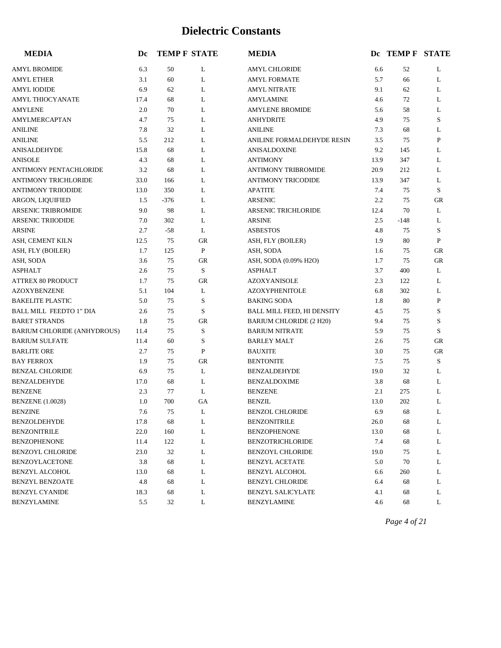| <b>MEDIA</b>                   | Dc   |        | <b>TEMP F STATE</b> | <b>MEDIA</b>                   |      | DC TEMP F STATE |              |
|--------------------------------|------|--------|---------------------|--------------------------------|------|-----------------|--------------|
| AMYL BROMIDE                   | 6.3  | 50     | L                   | <b>AMYL CHLORIDE</b>           | 6.6  | 52              | L            |
| AMYL ETHER                     | 3.1  | 60     | L                   | <b>AMYL FORMATE</b>            | 5.7  | 66              | L            |
| <b>AMYL IODIDE</b>             | 6.9  | 62     | L                   | <b>AMYL NITRATE</b>            | 9.1  | 62              | L            |
| <b>AMYL THIOCYANATE</b>        | 17.4 | 68     | L                   | <b>AMYLAMINE</b>               | 4.6  | 72              | L            |
| <b>AMYLENE</b>                 | 2.0  | 70     | L                   | <b>AMYLENE BROMIDE</b>         | 5.6  | 58              | L            |
| AMYLMERCAPTAN                  | 4.7  | 75     | L                   | <b>ANHYDRITE</b>               | 4.9  | 75              | S            |
| <b>ANILINE</b>                 | 7.8  | 32     | L                   | <b>ANILINE</b>                 | 7.3  | 68              | L            |
| <b>ANILINE</b>                 | 5.5  | 212    | L                   | ANILINE FORMALDEHYDE RESIN     | 3.5  | 75              | P            |
| ANISALDEHYDE                   | 15.8 | 68     | L                   | <b>ANISALDOXINE</b>            | 9.2  | 145             | L            |
| <b>ANISOLE</b>                 | 4.3  | 68     | L                   | <b>ANTIMONY</b>                | 13.9 | 347             | L            |
| ANTIMONY PENTACHLORIDE         | 3.2  | 68     | L                   | ANTIMONY TRIBROMIDE            | 20.9 | 212             | L            |
| ANTIMONY TRICHLORIDE           | 33.0 | 166    | L                   | <b>ANTIMONY TRICODIDE</b>      | 13.9 | 347             | L            |
| ANTIMONY TRIIODIDE             | 13.0 | 350    | L                   | <b>APATITE</b>                 | 7.4  | 75              | S            |
| ARGON, LIQUIFIED               | 1.5  | $-376$ | L                   | <b>ARSENIC</b>                 | 2.2  | 75              | GR           |
| <b>ARSENIC TRIBROMIDE</b>      | 9.0  | 98     | L                   | ARSENIC TRICHLORIDE            | 12.4 | 70              | L            |
| <b>ARSENIC TRIIODIDE</b>       | 7.0  | 302    | L                   | <b>ARSINE</b>                  | 2.5  | $-148$          | L            |
| ARSINE                         | 2.7  | $-58$  | L                   | <b>ASBESTOS</b>                | 4.8  | 75              | S            |
| ASH, CEMENT KILN               | 12.5 | 75     | GR                  | ASH, FLY (BOILER)              | 1.9  | 80              | $\mathbf{P}$ |
| ASH, FLY (BOILER)              | 1.7  | 125    | P                   | ASH, SODA                      | 1.6  | 75              | <b>GR</b>    |
| ASH, SODA                      | 3.6  | 75     | $G$ R               | ASH, SODA (0.09% H2O)          | 1.7  | 75              | GR           |
| <b>ASPHALT</b>                 | 2.6  | 75     | S                   | <b>ASPHALT</b>                 | 3.7  | 400             | L            |
| <b>ATTREX 80 PRODUCT</b>       | 1.7  | 75     | <b>GR</b>           | <b>AZOXYANISOLE</b>            | 2.3  | 122             | L            |
| <b>AZOXYBENZENE</b>            | 5.1  | 104    | L                   | <b>AZOXYPHENITOLE</b>          | 6.8  | 302             | L            |
| <b>BAKELITE PLASTIC</b>        | 5.0  | 75     | S                   | <b>BAKING SODA</b>             | 1.8  | 80              | P            |
| <b>BALL MILL FEEDTO 1" DIA</b> | 2.6  | 75     | S                   | BALL MILL FEED, HI DENSITY     | 4.5  | 75              | S            |
| <b>BARET STRANDS</b>           | 1.8  | 75     | ${\rm GR}$          | <b>BARIUM CHLORIDE (2 H20)</b> | 9.4  | 75              | S            |
| BARIUM CHLORIDE (ANHYDROUS)    | 11.4 | 75     | S                   | <b>BARIUM NITRATE</b>          | 5.9  | 75              | S            |
| <b>BARIUM SULFATE</b>          | 11.4 | 60     | S                   | <b>BARLEY MALT</b>             | 2.6  | 75              | GR           |
| <b>BARLITE ORE</b>             | 2.7  | 75     | P                   | <b>BAUXITE</b>                 | 3.0  | 75              | GR           |
| <b>BAY FERROX</b>              | 1.9  | 75     | ${\rm GR}$          | <b>BENTONITE</b>               | 7.5  | 75              | S            |
| <b>BENZAL CHLORIDE</b>         | 6.9  | 75     | L                   | <b>BENZALDEHYDE</b>            | 19.0 | 32              | L            |
| <b>BENZALDEHYDE</b>            | 17.0 | 68     | L                   | <b>BENZALDOXIME</b>            | 3.8  | 68              | L            |
| <b>BENZENE</b>                 | 2.3  | 77     | L                   | <b>BENZENE</b>                 | 2.1  | 275             | L            |
| <b>BENZENE</b> (1.0028)        | 1.0  | 700    | GA                  | <b>BENZIL</b>                  | 13.0 | 202             | L            |
| <b>BENZINE</b>                 | 7.6  | 75     | L                   | <b>BENZOL CHLORIDE</b>         | 6.9  | 68              | L            |
| BENZOLDEHYDE                   | 17.8 | 68     | L                   | <b>BENZONITRILE</b>            | 26.0 | 68              | L            |
| <b>BENZONITRILE</b>            | 22.0 | 160    | L                   | <b>BENZOPHENONE</b>            | 13.0 | 68              | L            |
| BENZOPHENONE                   | 11.4 | 122    | L                   | <b>BENZOTRICHLORIDE</b>        | 7.4  | 68              | L            |
| BENZOYL CHLORIDE               | 23.0 | 32     | L                   | <b>BENZOYL CHLORIDE</b>        | 19.0 | 75              | L            |
| <b>BENZOYLACETONE</b>          | 3.8  | 68     | L                   | <b>BENZYL ACETATE</b>          | 5.0  | 70              | L            |
| <b>BENZYL ALCOHOL</b>          | 13.0 | 68     | L                   | BENZYL ALCOHOL                 | 6.6  | 260             | L            |
| BENZYL BENZOATE                | 4.8  | 68     | L                   | <b>BENZYL CHLORIDE</b>         | 6.4  | 68              | L            |
| BENZYL CYANIDE                 | 18.3 | 68     | L                   | <b>BENZYL SALICYLATE</b>       | 4.1  | 68              | L            |
| BENZYLAMINE                    | 5.5  | 32     | L                   | <b>BENZYLAMINE</b>             | 4.6  | 68              | L            |

*Page 4 of 21*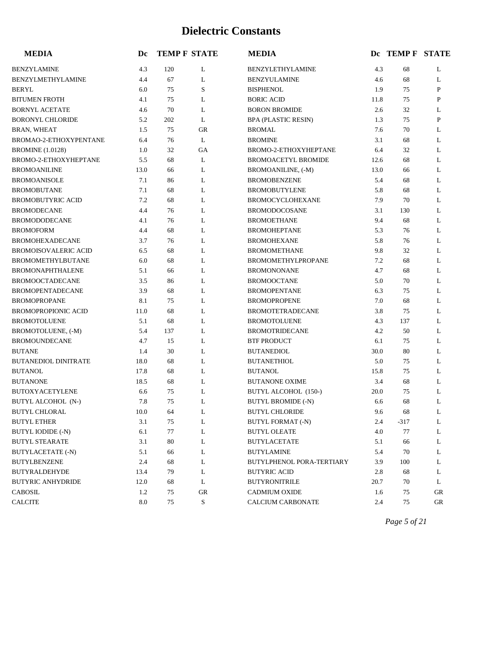| <b>MEDIA</b>                | Dc   |     | <b>TEMP F STATE</b> | <b>MEDIA</b>                |      | DC TEMP F STATE |              |
|-----------------------------|------|-----|---------------------|-----------------------------|------|-----------------|--------------|
| <b>BENZYLAMINE</b>          | 4.3  | 120 | L                   | <b>BENZYLETHYLAMINE</b>     | 4.3  | 68              | L            |
| BENZYLMETHYLAMINE           | 4.4  | 67  | L                   | <b>BENZYULAMINE</b>         | 4.6  | 68              | L            |
| <b>BERYL</b>                | 6.0  | 75  | S                   | <b>BISPHENOL</b>            | 1.9  | 75              | $\mathbf{P}$ |
| <b>BITUMEN FROTH</b>        | 4.1  | 75  | L                   | <b>BORIC ACID</b>           | 11.8 | 75              | P            |
| <b>BORNYL ACETATE</b>       | 4.6  | 70  | L                   | <b>BORON BROMIDE</b>        | 2.6  | 32              | L            |
| <b>BORONYL CHLORIDE</b>     | 5.2  | 202 | L                   | <b>BPA (PLASTIC RESIN)</b>  | 1.3  | 75              | P            |
| <b>BRAN, WHEAT</b>          | 1.5  | 75  | <b>GR</b>           | <b>BROMAL</b>               | 7.6  | 70              | L            |
| BROMAO-2-ETHOXYPENTANE      | 6.4  | 76  | L                   | <b>BROMINE</b>              | 3.1  | 68              | L            |
| <b>BROMINE</b> (1.0128)     | 1.0  | 32  | GA                  | BROMO-2-ETHOXYHEPTANE       | 6.4  | 32              | L            |
| BROMO-2-ETHOXYHEPTANE       | 5.5  | 68  | L                   | <b>BROMOACETYL BROMIDE</b>  | 12.6 | 68              | L            |
| <b>BROMOANILINE</b>         | 13.0 | 66  | L                   | BROMOANILINE, (-M)          | 13.0 | 66              | L            |
| <b>BROMOANISOLE</b>         | 7.1  | 86  | L                   | <b>BROMOBENZENE</b>         | 5.4  | 68              | L            |
| <b>BROMOBUTANE</b>          | 7.1  | 68  | L                   | <b>BROMOBUTYLENE</b>        | 5.8  | 68              | L            |
| <b>BROMOBUTYRIC ACID</b>    | 7.2  | 68  | L                   | <b>BROMOCYCLOHEXANE</b>     | 7.9  | 70              | L            |
| <b>BROMODECANE</b>          | 4.4  | 76  | L                   | <b>BROMODOCOSANE</b>        | 3.1  | 130             | L            |
| <b>BROMODODECANE</b>        | 4.1  | 76  | L                   | <b>BROMOETHANE</b>          | 9.4  | 68              | L            |
| <b>BROMOFORM</b>            | 4.4  | 68  | L                   | <b>BROMOHEPTANE</b>         | 5.3  | 76              | L            |
| <b>BROMOHEXADECANE</b>      | 3.7  | 76  | L                   | <b>BROMOHEXANE</b>          | 5.8  | 76              | L            |
| <b>BROMOISOVALERIC ACID</b> | 6.5  | 68  | L                   | <b>BROMOMETHANE</b>         | 9.8  | 32              | L            |
| <b>BROMOMETHYLBUTANE</b>    | 6.0  | 68  | L                   | BROMOMETHYLPROPANE          | 7.2  | 68              | L            |
| <b>BROMONAPHTHALENE</b>     | 5.1  | 66  | L                   | <b>BROMONONANE</b>          | 4.7  | 68              | L            |
| <b>BROMOOCTADECANE</b>      | 3.5  | 86  | L                   | <b>BROMOOCTANE</b>          | 5.0  | 70              | L            |
| <b>BROMOPENTADECANE</b>     | 3.9  | 68  | L                   | <b>BROMOPENTANE</b>         | 6.3  | 75              | L            |
| <b>BROMOPROPANE</b>         | 8.1  | 75  | L                   | <b>BROMOPROPENE</b>         | 7.0  | 68              | L            |
| <b>BROMOPROPIONIC ACID</b>  | 11.0 | 68  | L                   | <b>BROMOTETRADECANE</b>     | 3.8  | 75              | L            |
| <b>BROMOTOLUENE</b>         | 5.1  | 68  | L                   | <b>BROMOTOLUENE</b>         | 4.3  | 137             | L            |
| BROMOTOLUENE, (-M)          | 5.4  | 137 | L                   | <b>BROMOTRIDECANE</b>       | 4.2  | 50              | L            |
| <b>BROMOUNDECANE</b>        | 4.7  | 15  | L                   | <b>BTF PRODUCT</b>          | 6.1  | 75              | L            |
| <b>BUTANE</b>               | 1.4  | 30  | L                   | <b>BUTANEDIOL</b>           | 30.0 | 80              | L            |
| <b>BUTANEDIOL DINITRATE</b> | 18.0 | 68  | L                   | <b>BUTANETHIOL</b>          | 5.0  | 75              | L            |
| <b>BUTANOL</b>              | 17.8 | 68  | L                   | <b>BUTANOL</b>              | 15.8 | 75              | L            |
| <b>BUTANONE</b>             | 18.5 | 68  | L                   | <b>BUTANONE OXIME</b>       | 3.4  | 68              | L            |
| <b>BUTOXYACETYLENE</b>      | 6.6  | 75  | L                   | <b>BUTYL ALCOHOL</b> (150-) | 20.0 | 75              | L            |
| <b>BUTYL ALCOHOL (N-)</b>   | 7.8  | 75  | L                   | <b>BUTYL BROMIDE (-N)</b>   | 6.6  | 68              | L            |
| <b>BUTYL CHLORAL</b>        | 10.0 | 64  | L                   | <b>BUTYL CHLORIDE</b>       | 9.6  | 68              | L            |
| <b>BUTYL ETHER</b>          | 3.1  | 75  | L                   | <b>BUTYL FORMAT (-N)</b>    | 2.4  | $-317$          | L            |
| <b>BUTYL IODIDE (-N)</b>    | 6.1  | 77  | L                   | <b>BUTYL OLEATE</b>         | 4.0  | 77              | L            |
| <b>BUTYL STEARATE</b>       | 3.1  | 80  | L                   | <b>BUTYLACETATE</b>         | 5.1  | 66              | L            |
| <b>BUTYLACETATE (-N)</b>    | 5.1  | 66  | L                   | <b>BUTYLAMINE</b>           | 5.4  | 70              | L            |
| <b>BUTYLBENZENE</b>         | 2.4  | 68  | L                   | BUTYLPHENOL PORA-TERTIARY   | 3.9  | 100             | L            |
| <b>BUTYRALDEHYDE</b>        | 13.4 | 79  | L                   | <b>BUTYRIC ACID</b>         | 2.8  | 68              | L            |
| <b>BUTYRIC ANHYDRIDE</b>    | 12.0 | 68  | L                   | <b>BUTYRONITRILE</b>        | 20.7 | 70              | L            |
| <b>CABOSIL</b>              | 1.2  | 75  | ${\rm GR}$          | <b>CADMIUM OXIDE</b>        | 1.6  | 75              | GR           |
| <b>CALCITE</b>              | 8.0  | 75  | $\mathbf S$         | CALCIUM CARBONATE           | 2.4  | 75              | GR           |

*Page 5 of 21*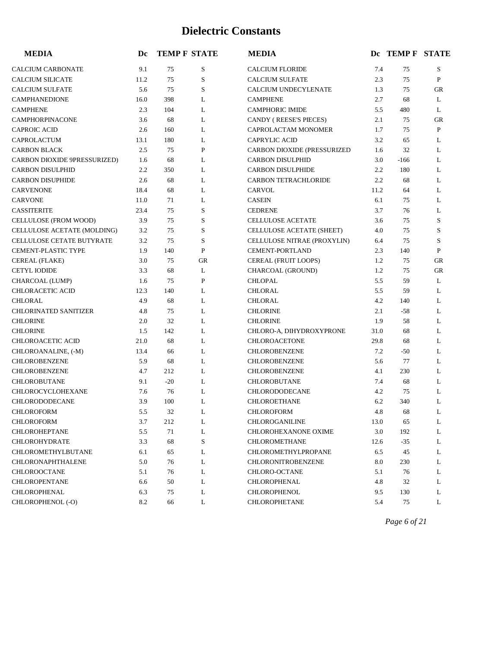| <b>MEDIA</b>                     | Dc   |       | <b>TEMP F STATE</b> | <b>MEDIA</b>                |      | DC TEMP F STATE |             |
|----------------------------------|------|-------|---------------------|-----------------------------|------|-----------------|-------------|
| <b>CALCIUM CARBONATE</b>         | 9.1  | 75    | S                   | <b>CALCIUM FLORIDE</b>      | 7.4  | 75              | S           |
| <b>CALCIUM SILICATE</b>          | 11.2 | 75    | S                   | <b>CALCIUM SULFATE</b>      | 2.3  | 75              | $\mathbf P$ |
| <b>CALCIUM SULFATE</b>           | 5.6  | 75    | S                   | <b>CALCIUM UNDECYLENATE</b> | 1.3  | 75              | GR          |
| <b>CAMPHANEDIONE</b>             | 16.0 | 398   | L                   | <b>CAMPHENE</b>             | 2.7  | 68              | L           |
| <b>CAMPHENE</b>                  | 2.3  | 104   | L                   | <b>CAMPHORIC IMIDE</b>      | 5.5  | 480             | L           |
| <b>CAMPHORPINACONE</b>           | 3.6  | 68    | L                   | CANDY (REESE'S PIECES)      | 2.1  | 75              | GR          |
| <b>CAPROIC ACID</b>              | 2.6  | 160   | L                   | CAPROLACTAM MONOMER         | 1.7  | 75              | P           |
| CAPROLACTUM                      | 13.1 | 180   | L                   | <b>CAPRYLIC ACID</b>        | 3.2  | 65              | L           |
| <b>CARBON BLACK</b>              | 2.5  | 75    | $\mathbf P$         | CARBON DIOXIDE (PRESSURIZED | 1.6  | 32              | L           |
| CARBON DIOXIDE 9PRESSURIZED)     | 1.6  | 68    | L                   | <b>CARBON DISULPHID</b>     | 3.0  | $-166$          | L           |
| <b>CARBON DISULPHID</b>          | 2.2  | 350   | L                   | <b>CARBON DISULPHIDE</b>    | 2.2  | 180             | L           |
| <b>CARBON DISUPHIDE</b>          | 2.6  | 68    | L                   | <b>CARBON TETRACHLORIDE</b> | 2.2  | 68              | L           |
| <b>CARVENONE</b>                 | 18.4 | 68    | L                   | CARVOL                      | 11.2 | 64              | L           |
| <b>CARVONE</b>                   | 11.0 | 71    | L                   | <b>CASEIN</b>               | 6.1  | 75              | L           |
| <b>CASSITERITE</b>               | 23.4 | 75    | S                   | <b>CEDRENE</b>              | 3.7  | 76              | L           |
| CELLULOSE (FROM WOOD)            | 3.9  | 75    | S                   | CELLULOSE ACETATE           | 3.6  | 75              | S           |
| CELLULOSE ACETATE (MOLDING)      | 3.2  | 75    | S                   | CELLULOSE ACETATE (SHEET)   | 4.0  | 75              | S           |
| <b>CELLULOSE CETATE BUTYRATE</b> | 3.2  | 75    | S                   | CELLULOSE NITRAE (PROXYLIN) | 6.4  | 75              | S           |
| <b>CEMENT-PLASTIC TYPE</b>       | 1.9  | 140   | P                   | <b>CEMENT-PORTLAND</b>      | 2.3  | 140             | P           |
| CEREAL (FLAKE)                   | 3.0  | 75    | GR                  | CEREAL (FRUIT LOOPS)        | 1.2  | 75              | <b>GR</b>   |
| <b>CETYL IODIDE</b>              | 3.3  | 68    | L                   | CHARCOAL (GROUND)           | 1.2  | 75              | <b>GR</b>   |
| CHARCOAL (LUMP)                  | 1.6  | 75    | $\mathbf P$         | <b>CHLOPAL</b>              | 5.5  | 59              | L           |
| <b>CHLORACETIC ACID</b>          | 12.3 | 140   | L                   | <b>CHLORAL</b>              | 5.5  | 59              | L           |
| <b>CHLORAL</b>                   | 4.9  | 68    | L                   | <b>CHLORAL</b>              | 4.2  | 140             | L           |
| CHLORINATED SANITIZER            | 4.8  | 75    | L                   | <b>CHLORINE</b>             | 2.1  | $-58$           | L           |
| <b>CHLORINE</b>                  | 2.0  | 32    | L                   | <b>CHLORINE</b>             | 1.9  | 58              | L           |
| <b>CHLORINE</b>                  | 1.5  | 142   | L                   | CHLORO-A, DIHYDROXYPRONE    | 31.0 | 68              | L           |
| CHLOROACETIC ACID                | 21.0 | 68    | L                   | <b>CHLOROACETONE</b>        | 29.8 | 68              | L           |
| CHLOROANALINE, (-M)              | 13.4 | 66    | L                   | <b>CHLOROBENZENE</b>        | 7.2  | $-50$           | L           |
| CHLOROBENZENE                    | 5.9  | 68    | L                   | <b>CHLOROBENZENE</b>        | 5.6  | 77              | L           |
| CHLOROBENZENE                    | 4.7  | 212   | L                   | <b>CHLOROBENZENE</b>        | 4.1  | 230             | L           |
| <b>CHLOROBUTANE</b>              | 9.1  | $-20$ | L                   | CHLOROBUTANE                | 7.4  | 68              | L           |
| CHLOROCYCLOHEXANE                | 7.6  | 76    | L                   | CHLORODODECANE              | 4.2  | 75              | L           |
| CHLORODODECANE                   | 3.9  | 100   | L                   | <b>CHLOROETHANE</b>         | 6.2  | 340             | L           |
| CHLOROFORM                       | 5.5  | 32    | L                   | CHLOROFORM                  | 4.8  | 68              | L           |
| <b>CHLOROFORM</b>                | 3.7  | 212   | L                   | CHLOROGANILINE              | 13.0 | 65              | L           |
| <b>CHLOROHEPTANE</b>             | 5.5  | 71    | L                   | <b>CHLOROHEXANONE OXIME</b> | 3.0  | 192             | L           |
| <b>CHLOROHYDRATE</b>             | 3.3  | 68    | S                   | CHLOROMETHANE               | 12.6 | -35             | L           |
| CHLOROMETHYLBUTANE               | 6.1  | 65    | L                   | CHLOROMETHYLPROPANE         | 6.5  | 45              | L           |
| CHLORONAPHTHALENE                | 5.0  | 76    | L                   | CHLORONITROBENZENE          | 8.0  | 230             | L           |
| CHLOROOCTANE                     | 5.1  | 76    | L                   | CHLORO-OCTANE               | 5.1  | 76              | L           |
| CHLOROPENTANE                    | 6.6  | 50    | L                   | CHLOROPHENAL                | 4.8  | 32              | L           |
| CHLOROPHENAL                     | 6.3  | 75    | L                   | <b>CHLOROPHENOL</b>         | 9.5  | 130             | L           |
| CHLOROPHENOL (-O)                | 8.2  | 66    | L                   | CHLOROPHETANE               | 5.4  | 75              | L           |

*Page 6 of 21*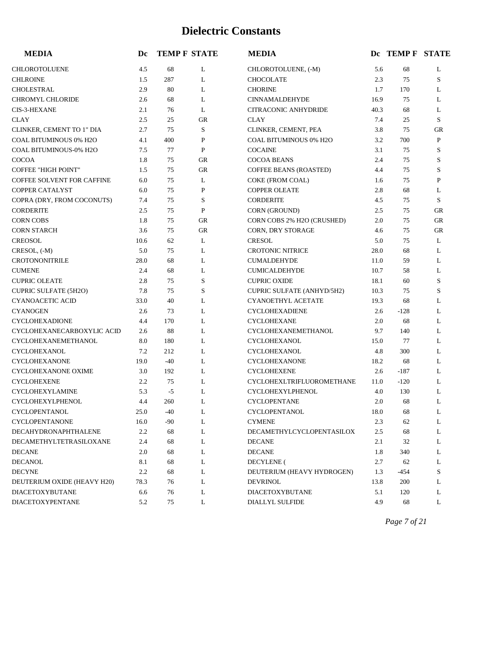| <b>MEDIA</b>                 | Dc   | <b>TEMP F STATE</b> |             | <b>MEDIA</b>                  |      | DC TEMP F STATE |             |
|------------------------------|------|---------------------|-------------|-------------------------------|------|-----------------|-------------|
| <b>CHLOROTOLUENE</b>         | 4.5  | 68                  | L           | CHLOROTOLUENE, (-M)           | 5.6  | 68              | L           |
| <b>CHLROINE</b>              | 1.5  | 287                 | L           | <b>CHOCOLATE</b>              | 2.3  | 75              | S           |
| CHOLESTRAL                   | 2.9  | 80                  | L           | <b>CHORINE</b>                | 1.7  | 170             | L           |
| <b>CHROMYL CHLORIDE</b>      | 2.6  | 68                  | L           | <b>CINNAMALDEHYDE</b>         | 16.9 | 75              | L           |
| <b>CIS-3-HEXANE</b>          | 2.1  | 76                  | L           | <b>CITRACONIC ANHYDRIDE</b>   | 40.3 | 68              | L           |
| <b>CLAY</b>                  | 2.5  | 25                  | <b>GR</b>   | <b>CLAY</b>                   | 7.4  | 25              | S           |
| CLINKER, CEMENT TO 1" DIA    | 2.7  | 75                  | $\mathbf S$ | CLINKER, CEMENT, PEA          | 3.8  | 75              | ${\rm GR}$  |
| COAL BITUMINOUS 0% H2O       | 4.1  | 400                 | ${\bf P}$   | COAL BITUMINOUS 0% H2O        | 3.2  | 700             | P           |
| COAL BITUMINOUS-0% H2O       | 7.5  | 77                  | ${\bf P}$   | <b>COCAINE</b>                | 3.1  | 75              | $\mathbf S$ |
| <b>COCOA</b>                 | 1.8  | 75                  | <b>GR</b>   | <b>COCOA BEANS</b>            | 2.4  | 75              | S           |
| <b>COFFEE "HIGH POINT"</b>   | 1.5  | 75                  | <b>GR</b>   | <b>COFFEE BEANS (ROASTED)</b> | 4.4  | 75              | $\mathbf S$ |
| COFFEE SOLVENT FOR CAFFINE   | 6.0  | 75                  | L           | COKE (FROM COAL)              | 1.6  | 75              | P           |
| COPPER CATALYST              | 6.0  | 75                  | P           | <b>COPPER OLEATE</b>          | 2.8  | 68              | L           |
| COPRA (DRY, FROM COCONUTS)   | 7.4  | 75                  | $\mathbf S$ | <b>CORDERITE</b>              | 4.5  | 75              | S           |
| <b>CORDERITE</b>             | 2.5  | 75                  | $\mathbf P$ | CORN (GROUND)                 | 2.5  | 75              | <b>GR</b>   |
| <b>CORN COBS</b>             | 1.8  | 75                  | <b>GR</b>   | CORN COBS 2% H2O (CRUSHED)    | 2.0  | 75              | <b>GR</b>   |
| <b>CORN STARCH</b>           | 3.6  | 75                  | <b>GR</b>   | CORN, DRY STORAGE             | 4.6  | 75              | ${\rm GR}$  |
| <b>CREOSOL</b>               | 10.6 | 62                  | L           | <b>CRESOL</b>                 | 5.0  | 75              | L           |
| CRESOL, (-M)                 | 5.0  | 75                  | L           | <b>CROTONIC NITRICE</b>       | 28.0 | 68              | L           |
| <b>CROTONONITRILE</b>        | 28.0 | 68                  | L           | <b>CUMALDEHYDE</b>            | 11.0 | 59              | L           |
| <b>CUMENE</b>                | 2.4  | 68                  | L           | <b>CUMICALDEHYDE</b>          | 10.7 | 58              | L           |
| <b>CUPRIC OLEATE</b>         | 2.8  | 75                  | S           | <b>CUPRIC OXIDE</b>           | 18.1 | 60              | S           |
| <b>CUPRIC SULFATE (5H2O)</b> | 7.8  | 75                  | S           | CUPRIC SULFATE (ANHYD/5H2)    | 10.3 | 75              | S           |
| <b>CYANOACETIC ACID</b>      | 33.0 | 40                  | L           | <b>CYANOETHYL ACETATE</b>     | 19.3 | 68              | L           |
| <b>CYANOGEN</b>              | 2.6  | 73                  | L           | <b>CYCLOHEXADIENE</b>         | 2.6  | $-128$          | L           |
| <b>CYCLOHEXADIONE</b>        | 4.4  | 170                 | L           | <b>CYCLOHEXANE</b>            | 2.0  | 68              | L           |
| CYCLOHEXANECARBOXYLIC ACID   | 2.6  | 88                  | L           | CYCLOHEXANEMETHANOL           | 9.7  | 140             | L           |
| CYCLOHEXANEMETHANOL          | 8.0  | 180                 | L           | <b>CYCLOHEXANOL</b>           | 15.0 | 77              | L           |
| <b>CYCLOHEXANOL</b>          | 7.2  | 212                 | L           | <b>CYCLOHEXANOL</b>           | 4.8  | 300             | L           |
| <b>CYCLOHEXANONE</b>         | 19.0 | $-40$               | L           | <b>CYCLOHEXANONE</b>          | 18.2 | 68              | L           |
| <b>CYCLOHEXANONE OXIME</b>   | 3.0  | 192                 | L           | <b>CYCLOHEXENE</b>            | 2.6  | $-187$          | L           |
| <b>CYCLOHEXENE</b>           | 2.2  | 75                  | L           | CYCLOHEXLTRIFLUOROMETHANE     | 11.0 | $-120$          | L           |
| CYCLOHEXYLAMINE              | 5.3  | $-5$                | L           | <b>CYCLOHEXYLPHENOL</b>       | 4.0  | 130             | L           |
| <b>CYCLOHEXYLPHENOL</b>      | 4.4  | 260                 | L           | <b>CYCLOPENTANE</b>           | 2.0  | 68              | L           |
| CYCLOPENTANOL                | 25.0 | $-40$               | L           | CYCLOPENTANOL                 | 18.0 | 68              | L           |
| CYCLOPENTANONE               | 16.0 | -90                 | L           | <b>CYMENE</b>                 | 2.3  | 62              | L           |
| DECAHYDRONAPHTHALENE         | 2.2  | 68                  | L           | DECAMETHYLCYCLOPENTASILOX     | 2.5  | 68              | L           |
| DECAMETHYLTETRASILOXANE      | 2.4  | 68                  | L           | <b>DECANE</b>                 | 2.1  | 32              | L           |
| <b>DECANE</b>                | 2.0  | 68                  | L           | <b>DECANE</b>                 | 1.8  | 340             | L           |
| DECANOL                      | 8.1  | 68                  | L           | <b>DECYLENE</b> (             | 2.7  | 62              | L           |
| <b>DECYNE</b>                | 2.2  | 68                  | L           | DEUTERIUM (HEAVY HYDROGEN)    | 1.3  | -454            | S           |
| DEUTERIUM OXIDE (HEAVY H20)  | 78.3 | 76                  | L           | <b>DEVRINOL</b>               | 13.8 | 200             | L           |
| <b>DIACETOXYBUTANE</b>       | 6.6  | 76                  | L           | DIACETOXYBUTANE               | 5.1  | 120             | L           |
| DIACETOXYPENTANE             | 5.2  | 75                  | L           | DIALLYL SULFIDE               | 4.9  | 68              | L           |

*Page 7 of 21*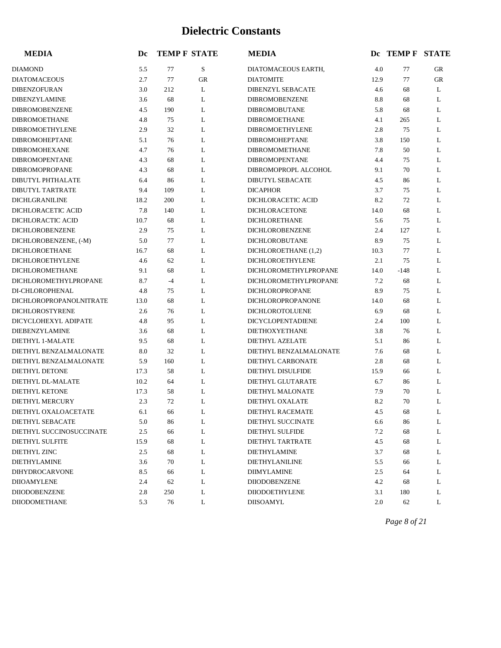| <b>MEDIA</b>             | Dc   |      | <b>TEMP F STATE</b> | <b>MEDIA</b>             |      | DC TEMP F STATE |    |
|--------------------------|------|------|---------------------|--------------------------|------|-----------------|----|
| <b>DIAMOND</b>           | 5.5  | 77   | ${\bf S}$           | DIATOMACEOUS EARTH,      | 4.0  | 77              | GR |
| <b>DIATOMACEOUS</b>      | 2.7  | 77   | GR                  | <b>DIATOMITE</b>         | 12.9 | 77              | GR |
| DIBENZOFURAN             | 3.0  | 212  | L                   | DIBENZYL SEBACATE        | 4.6  | 68              | L  |
| DIBENZYLAMINE            | 3.6  | 68   | L                   | <b>DIBROMOBENZENE</b>    | 8.8  | 68              | L  |
| <b>DIBROMOBENZENE</b>    | 4.5  | 190  | L                   | <b>DIBROMOBUTANE</b>     | 5.8  | 68              | L  |
| <b>DIBROMOETHANE</b>     | 4.8  | 75   | L                   | <b>DIBROMOETHANE</b>     | 4.1  | 265             | L  |
| DIBROMOETHYLENE          | 2.9  | 32   | L                   | <b>DIBROMOETHYLENE</b>   | 2.8  | 75              | L  |
| DIBROMOHEPTANE           | 5.1  | 76   | L                   | DIBROMOHEPTANE           | 3.8  | 150             | L  |
| <b>DIBROMOHEXANE</b>     | 4.7  | 76   | L                   | <b>DIBROMOMETHANE</b>    | 7.8  | 50              | L  |
| <b>DIBROMOPENTANE</b>    | 4.3  | 68   | L                   | <b>DIBROMOPENTANE</b>    | 4.4  | 75              | L  |
| DIBROMOPROPANE           | 4.3  | 68   | L                   | DIBROMOPROPL ALCOHOL     | 9.1  | 70              | L  |
| DIBUTYL PHTHALATE        | 6.4  | 86   | L                   | <b>DIBUTYL SEBACATE</b>  | 4.5  | 86              | L  |
| <b>DIBUTYL TARTRATE</b>  | 9.4  | 109  | L                   | <b>DICAPHOR</b>          | 3.7  | 75              | L  |
| <b>DICHLGRANILINE</b>    | 18.2 | 200  | L                   | DICHLORACETIC ACID       | 8.2  | 72              | L  |
| DICHLORACETIC ACID       | 7.8  | 140  | L                   | <b>DICHLORACETONE</b>    | 14.0 | 68              | L  |
| DICHLORACTIC ACID        | 10.7 | 68   | L                   | <b>DICHLORETHANE</b>     | 5.6  | 75              | L  |
| DICHLOROBENZENE          | 2.9  | 75   | L                   | DICHLOROBENZENE          | 2.4  | 127             | L  |
| DICHLOROBENZENE, (-M)    | 5.0  | 77   | L                   | DICHLOROBUTANE           | 8.9  | 75              | L  |
| DICHLOROETHANE           | 16.7 | 68   | L                   | DICHLOROETHANE (1,2)     | 10.3 | 77              | L  |
| DICHLOROETHYLENE         | 4.6  | 62   | L                   | DICHLOROETHYLENE         | 2.1  | 75              | L  |
| <b>DICHLOROMETHANE</b>   | 9.1  | 68   | L                   | DICHLOROMETHYLPROPANE    | 14.0 | $-148$          | L  |
| DICHLOROMETHYLPROPANE    | 8.7  | $-4$ | L                   | DICHLOROMETHYLPROPANE    | 7.2  | 68              | L  |
| DI-CHLOROPHENAL          | 4.8  | 75   | L                   | DICHLOROPROPANE          | 8.9  | 75              | L  |
| DICHLOROPROPANOLNITRATE  | 13.0 | 68   | L                   | DICHLOROPROPANONE        | 14.0 | 68              | L  |
| DICHLOROSTYRENE          | 2.6  | 76   | L                   | DICHLOROTOLUENE          | 6.9  | 68              | L  |
| DICYCLOHEXYL ADIPATE     | 4.8  | 95   | L                   | DICYCLOPENTADIENE        | 2.4  | 100             | L  |
| DIEBENZYLAMINE           | 3.6  | 68   | L                   | DIETHOXYETHANE           | 3.8  | 76              | L  |
| DIETHYL 1-MALATE         | 9.5  | 68   | L                   | DIETHYL AZELATE          | 5.1  | 86              | L  |
| DIETHYL BENZALMALONATE   | 8.0  | 32   | L                   | DIETHYL BENZALMALONATE   | 7.6  | 68              | L  |
| DIETHYL BENZALMALONATE   | 5.9  | 160  | L                   | DIETHYL CARBONATE        | 2.8  | 68              | L  |
| DIETHYL DETONE           | 17.3 | 58   | L                   | <b>DIETHYL DISULFIDE</b> | 15.9 | 66              | L  |
| DIETHYL DL-MALATE        | 10.2 | 64   | L                   | DIETHYL GLUTARATE        | 6.7  | 86              | L  |
| DIETHYL KETONE           | 17.3 | 58   | L                   | DIETHYL MALONATE         | 7.9  | 70              | L  |
| <b>DIETHYL MERCURY</b>   | 2.3  | 72   | L                   | <b>DIETHYL OXALATE</b>   | 8.2  | 70              | L  |
| DIETHYL OXALOACETATE     | 6.1  | 66   | L                   | DIETHYL RACEMATE         | 4.5  | 68              | L  |
| DIETHYL SEBACATE         | 5.0  | 86   | L                   | DIETHYL SUCCINATE        | 6.6  | 86              | L  |
| DIETHYL SUCCINOSUCCINATE | 2.5  | 66   | L                   | DIETHYL SULFIDE          | 7.2  | 68              | L  |
| <b>DIETHYL SULFITE</b>   | 15.9 | 68   | L                   | DIETHYL TARTRATE         | 4.5  | 68              | L  |
| DIETHYL ZINC             | 2.5  | 68   | L                   | <b>DIETHYLAMINE</b>      | 3.7  | 68              | L  |
| <b>DIETHYLAMINE</b>      | 3.6  | 70   | L                   | DIETHYLANILINE           | 5.5  | 66              | L  |
| DIHYDROCARVONE           | 8.5  | 66   | L                   | <b>DIIMYLAMINE</b>       | 2.5  | 64              | L  |
| <b>DIIOAMYLENE</b>       | 2.4  | 62   | L                   | <b>DIIODOBENZENE</b>     | 4.2  | 68              | L  |
| DIIODOBENZENE            | 2.8  | 250  | L                   | <b>DIIODOETHYLENE</b>    | 3.1  | 180             | L  |
| DIIODOMETHANE            | 5.3  | 76   | L                   | <b>DIISOAMYL</b>         | 2.0  | 62              | L  |

*Page 8 of 21*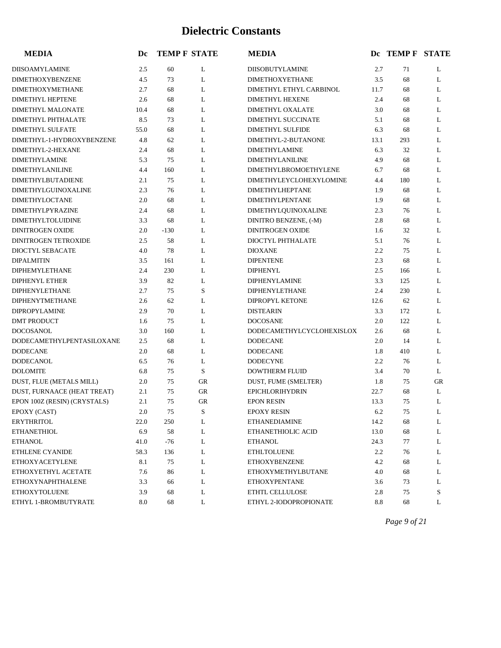| <b>MEDIA</b>                 | Dc   | <b>TEMP F STATE</b> |           | <b>MEDIA</b>                   |      | DC TEMP F STATE |    |
|------------------------------|------|---------------------|-----------|--------------------------------|------|-----------------|----|
| DIISOAMYLAMINE               | 2.5  | 60                  | L         | DIISOBUTYLAMINE                | 2.7  | 71              | L  |
| <b>DIMETHOXYBENZENE</b>      | 4.5  | 73                  | L         | <b>DIMETHOXYETHANE</b>         | 3.5  | 68              | L  |
| <b>DIMETHOXYMETHANE</b>      | 2.7  | 68                  | L         | DIMETHYL ETHYL CARBINOL        | 11.7 | 68              | L  |
| <b>DIMETHYL HEPTENE</b>      | 2.6  | 68                  | L         | <b>DIMETHYL HEXENE</b>         | 2.4  | 68              | L  |
| DIMETHYL MALONATE            | 10.4 | 68                  | L         | <b>DIMETHYL OXALATE</b>        | 3.0  | 68              | L  |
| <b>DIMETHYL PHTHALATE</b>    | 8.5  | 73                  | L         | <b>DIMETHYL SUCCINATE</b>      | 5.1  | 68              | L  |
| <b>DIMETHYL SULFATE</b>      | 55.0 | 68                  | L         | <b>DIMETHYL SULFIDE</b>        | 6.3  | 68              | L  |
| DIMETHYL-1-HYDROXYBENZENE    | 4.8  | 62                  | L         | DIMETHYL-2-BUTANONE            | 13.1 | 293             | L  |
| DIMETHYL-2-HEXANE            | 2.4  | 68                  | L         | <b>DIMETHYLAMINE</b>           | 6.3  | 32              | L  |
| <b>DIMETHYLAMINE</b>         | 5.3  | 75                  | L         | <b>DIMETHYLANILINE</b>         | 4.9  | 68              | L  |
| <b>DIMETHYLANILINE</b>       | 4.4  | 160                 | L         | <b>DIMETHYLBROMOETHYLENE</b>   | 6.7  | 68              | L  |
| <b>DIMETHYLBUTADIENE</b>     | 2.1  | 75                  | L         | <b>DIMETHYLEYCLOHEXYLOMINE</b> | 4.4  | 180             | L  |
| <b>DIMETHYLGUINOXALINE</b>   | 2.3  | 76                  | L         | <b>DIMETHYLHEPTANE</b>         | 1.9  | 68              | L  |
| <b>DIMETHYLOCTANE</b>        | 2.0  | 68                  | L         | <b>DIMETHYLPENTANE</b>         | 1.9  | 68              | L  |
| DIMETHYLPYRAZINE             | 2.4  | 68                  | L         | DIMETHYLQUINOXALINE            | 2.3  | 76              | L  |
| <b>DIMETHYLTOLUIDINE</b>     | 3.3  | 68                  | L         | DINITRO BENZENE, (-M)          | 2.8  | 68              | L  |
| <b>DINITROGEN OXIDE</b>      | 2.0  | $-130$              | L         | <b>DINITROGEN OXIDE</b>        | 1.6  | 32              | L  |
| <b>DINITROGEN TETROXIDE</b>  | 2.5  | 58                  | L         | DIOCTYL PHTHALATE              | 5.1  | 76              | L  |
| DIOCTYL SEBACATE             | 4.0  | 78                  | L         | <b>DIOXANE</b>                 | 2.2  | 75              | L  |
| <b>DIPALMITIN</b>            | 3.5  | 161                 | L         | <b>DIPENTENE</b>               | 2.3  | 68              | L  |
| <b>DIPHEMYLETHANE</b>        | 2.4  | 230                 | L         | <b>DIPHENYL</b>                | 2.5  | 166             | L  |
| <b>DIPHENYL ETHER</b>        | 3.9  | 82                  | L         | <b>DIPHENYLAMINE</b>           | 3.3  | 125             | L  |
| <b>DIPHENYLETHANE</b>        | 2.7  | 75                  | S         | DIPHENYLETHANE                 | 2.4  | 230             | L  |
| DIPHENYTMETHANE              | 2.6  | 62                  | L         | <b>DIPROPYL KETONE</b>         | 12.6 | 62              | L  |
| <b>DIPROPYLAMINE</b>         | 2.9  | 70                  | L         | <b>DISTEARIN</b>               | 3.3  | 172             | L  |
| <b>DMT PRODUCT</b>           | 1.6  | 75                  | L         | <b>DOCOSANE</b>                | 2.0  | 122             | L  |
| <b>DOCOSANOL</b>             | 3.0  | 160                 | L         | DODECAMETHYLCYCLOHEXISLOX      | 2.6  | 68              | L  |
| DODECAMETHYLPENTASILOXANE    | 2.5  | 68                  | L         | <b>DODECANE</b>                | 2.0  | 14              | L  |
| <b>DODECANE</b>              | 2.0  | 68                  | L         | <b>DODECANE</b>                | 1.8  | 410             | L  |
| <b>DODECANOL</b>             | 6.5  | 76                  | L         | <b>DODECYNE</b>                | 2.2  | 76              | L  |
| <b>DOLOMITE</b>              | 6.8  | 75                  | S         | <b>DOWTHERM FLUID</b>          | 3.4  | 70              | L  |
| DUST, FLUE (METALS MILL)     | 2.0  | 75                  | GR        | DUST, FUME (SMELTER)           | 1.8  | 75              | GR |
| DUST, FURNAACE (HEAT TREAT)  | 2.1  | 75                  | <b>GR</b> | <b>EPICHLORIHYDRIN</b>         | 22.7 | 68              | L  |
| EPON 100Z (RESIN) (CRYSTALS) | 2.1  | 75                  | GR        | <b>EPON RESIN</b>              | 13.3 | 75              | L  |
| EPOXY (CAST)                 | 2.0  | 75                  | S         | <b>EPOXY RESIN</b>             | 6.2  | 75              | L  |
| <b>ERYTHRITOL</b>            | 22.0 | 250                 | L         | <b>ETHANEDIAMINE</b>           | 14.2 | 68              | L  |
| <b>ETHANETHIOL</b>           | 6.9  | 58                  | L         | ETHANETHIOLIC ACID             | 13.0 | 68              | L  |
| <b>ETHANOL</b>               | 41.0 | $-76$               | L         | ETHANOL                        | 24.3 | 77              | L  |
| <b>ETHLENE CYANIDE</b>       | 58.3 | 136                 | L         | <b>ETHLTOLUENE</b>             | 2.2  | 76              | L  |
| <b>ETHOXYACETYLENE</b>       | 8.1  | 75                  | L         | <b>ETHOXYBENZENE</b>           | 4.2  | 68              | L  |
| ETHOXYETHYL ACETATE          | 7.6  | 86                  | L         | ETHOXYMETHYLBUTANE             | 4.0  | 68              | L  |
| <b>ETHOXYNAPHTHALENE</b>     | 3.3  | 66                  | L         | <b>ETHOXYPENTANE</b>           | 3.6  | 73              | L  |
| <b>ETHOXYTOLUENE</b>         | 3.9  | 68                  | L         | ETHTL CELLULOSE                | 2.8  | 75              | S  |
| ETHYL 1-BROMBUTYRATE         | 8.0  | 68                  | L         | ETHYL 2-IODOPROPIONATE         | 8.8  | 68              | L  |

*Page 9 of 21*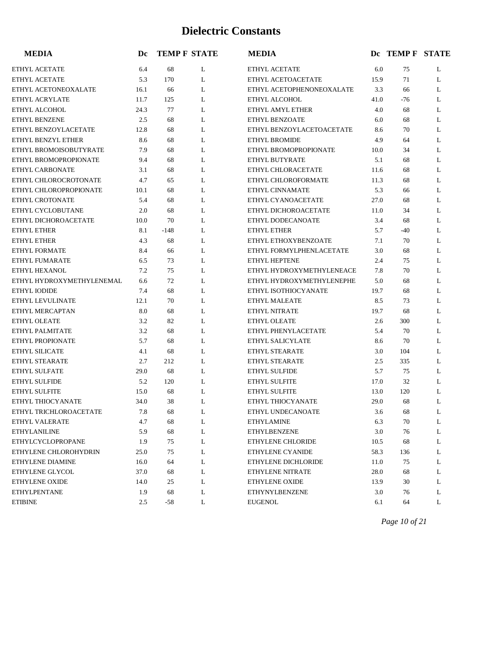| <b>MEDIA</b>              | Dc   |        | <b>TEMP F STATE</b> | <b>MEDIA</b>              |      | DC TEMP F STATE |   |
|---------------------------|------|--------|---------------------|---------------------------|------|-----------------|---|
| ETHYL ACETATE             | 6.4  | 68     | L                   | ETHYL ACETATE             | 6.0  | 75              | L |
| ETHYL ACETATE             | 5.3  | 170    | L                   | ETHYL ACETOACETATE        | 15.9 | 71              | L |
| ETHYL ACETONEOXALATE      | 16.1 | 66     | L                   | ETHYL ACETOPHENONEOXALATE | 3.3  | 66              | L |
| <b>ETHYL ACRYLATE</b>     | 11.7 | 125    | L                   | ETHYL ALCOHOL             | 41.0 | $-76$           | L |
| ETHYL ALCOHOL             | 24.3 | 77     | L                   | ETHYL AMYL ETHER          | 4.0  | 68              | L |
| ETHYL BENZENE             | 2.5  | 68     | L                   | ETHYL BENZOATE            | 6.0  | 68              | L |
| ETHYL BENZOYLACETATE      | 12.8 | 68     | L                   | ETHYL BENZOYLACETOACETATE | 8.6  | 70              | L |
| ETHYL BENZYL ETHER        | 8.6  | 68     | L                   | ETHYL BROMIDE             | 4.9  | 64              | L |
| ETHYL BROMOISOBUTYRATE    | 7.9  | 68     | L                   | ETHYL BROMOPROPIONATE     | 10.0 | 34              | L |
| ETHYL BROMOPROPIONATE     | 9.4  | 68     | L                   | ETHYL BUTYRATE            | 5.1  | 68              | L |
| ETHYL CARBONATE           | 3.1  | 68     | L                   | ETHYL CHLORACETATE        | 11.6 | 68              | L |
| ETHYL CHLOROCROTONATE     | 4.7  | 65     | L                   | ETHYL CHLOROFORMATE       | 11.3 | 68              | L |
| ETHYL CHLOROPROPIONATE    | 10.1 | 68     | L                   | ETHYL CINNAMATE           | 5.3  | 66              | L |
| ETHYL CROTONATE           | 5.4  | 68     | L                   | ETHYL CYANOACETATE        | 27.0 | 68              | L |
| ETHYL CYCLOBUTANE         | 2.0  | 68     | L                   | ETHYL DICHOROACETATE      | 11.0 | 34              | L |
| ETHYL DICHOROACETATE      | 10.0 | 70     | L                   | ETHYL DODECANOATE         | 3.4  | 68              | L |
| <b>ETHYL ETHER</b>        | 8.1  | $-148$ | L                   | <b>ETHYL ETHER</b>        | 5.7  | $-40$           | L |
| <b>ETHYL ETHER</b>        | 4.3  | 68     | L                   | ETHYL ETHOXYBENZOATE      | 7.1  | 70              | L |
| <b>ETHYL FORMATE</b>      | 8.4  | 66     | L                   | ETHYL FORMYLPHENLACETATE  | 3.0  | 68              | L |
| ETHYL FUMARATE            | 6.5  | 73     | L                   | ETHYL HEPTENE             | 2.4  | 75              | L |
| ETHYL HEXANOL             | 7.2  | 75     | L                   | ETHYL HYDROXYMETHYLENEACE | 7.8  | 70              | L |
| ETHYL HYDROXYMETHYLENEMAL | 6.6  | 72     | L                   | ETHYL HYDROXYMETHYLENEPHE | 5.0  | 68              | L |
| ETHYL IODIDE              | 7.4  | 68     | L                   | ETHYL ISOTHIOCYANATE      | 19.7 | 68              | L |
| ETHYL LEVULINATE          | 12.1 | 70     | L                   | ETHYL MALEATE             | 8.5  | 73              | L |
| ETHYL MERCAPTAN           | 8.0  | 68     | L                   | <b>ETHYL NITRATE</b>      | 19.7 | 68              | L |
| ETHYL OLEATE              | 3.2  | 82     | L                   | ETHYL OLEATE              | 2.6  | 300             | L |
| ETHYL PALMITATE           | 3.2  | 68     | L                   | ETHYL PHENYLACETATE       | 5.4  | 70              | L |
| ETHYL PROPIONATE          | 5.7  | 68     | L                   | ETHYL SALICYLATE          | 8.6  | 70              | L |
| ETHYL SILICATE            | 4.1  | 68     | L                   | ETHYL STEARATE            | 3.0  | 104             | L |
| ETHYL STEARATE            | 2.7  | 212    | L                   | ETHYL STEARATE            | 2.5  | 335             | L |
| ETHYL SULFATE             | 29.0 | 68     | L                   | <b>ETHYL SULFIDE</b>      | 5.7  | 75              | L |
| ETHYL SULFIDE             | 5.2  | 120    | L                   | ETHYL SULFITE             | 17.0 | 32              | L |
| ETHYL SULFITE             | 15.0 | 68     | L                   | ETHYL SULFITE             | 13.0 | 120             | L |
| ETHYL THIOCYANATE         | 34.0 | 38     | L                   | ETHYL THIOCYANATE         | 29.0 | 68              | L |
| ETHYL TRICHLOROACETATE    | 7.8  | 68     | L                   | ETHYL UNDECANOATE         | 3.6  | 68              | L |
| ETHYL VALERATE            | 4.7  | 68     | L                   | <b>ETHYLAMINE</b>         | 6.3  | 70              | L |
| <b>ETHYLANILINE</b>       | 5.9  | 68     | L                   | <b>ETHYLBENZENE</b>       | 3.0  | 76              | L |
| <b>ETHYLCYCLOPROPANE</b>  | 1.9  | 75     | L                   | ETHYLENE CHLORIDE         | 10.5 | 68              | L |
| ETHYLENE CHLOROHYDRIN     | 25.0 | 75     | L                   | ETHYLENE CYANIDE          | 58.3 | 136             | L |
| ETHYLENE DIAMINE          | 16.0 | 64     | L                   | ETHYLENE DICHLORIDE       | 11.0 | 75              | L |
| ETHYLENE GLYCOL           | 37.0 | 68     | L                   | ETHYLENE NITRATE          | 28.0 | 68              | L |
| ETHYLENE OXIDE            | 14.0 | 25     | L                   | ETHYLENE OXIDE            | 13.9 | 30              | L |
| <b>ETHYLPENTANE</b>       | 1.9  | 68     | L                   | ETHYNYLBENZENE            | 3.0  | 76              | L |
| <b>ETIBINE</b>            | 2.5  | -58    | L                   | <b>EUGENOL</b>            | 6.1  | 64              | L |

*Page 10 of 21*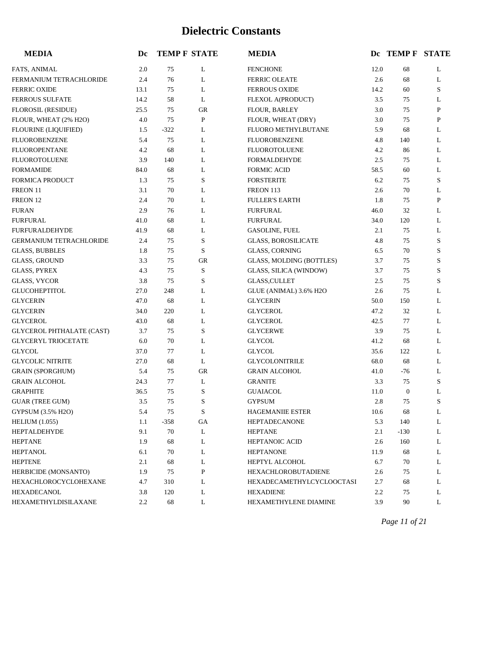| <b>MEDIA</b>                     | Dc   |        | <b>TEMP F STATE</b> | <b>MEDIA</b>                     |         | Dc TEMP F STATE |           |
|----------------------------------|------|--------|---------------------|----------------------------------|---------|-----------------|-----------|
| FATS, ANIMAL                     | 2.0  | 75     | L                   | <b>FENCHONE</b>                  | 12.0    | 68              | L         |
| FERMANIUM TETRACHLORIDE          | 2.4  | 76     | L                   | <b>FERRIC OLEATE</b>             | 2.6     | 68              | L         |
| <b>FERRIC OXIDE</b>              | 13.1 | 75     | L                   | <b>FERROUS OXIDE</b>             | 14.2    | 60              | S         |
| <b>FERROUS SULFATE</b>           | 14.2 | 58     | L                   | FLEXOL A(PRODUCT)                | 3.5     | 75              | L         |
| FLOROSIL (RESIDUE)               | 25.5 | 75     | GR                  | FLOUR, BARLEY                    | 3.0     | 75              | P         |
| FLOUR, WHEAT (2% H2O)            | 4.0  | 75     | ${\bf P}$           | FLOUR, WHEAT (DRY)               | 3.0     | 75              | ${\bf P}$ |
| <b>FLOURINE (LIQUIFIED)</b>      | 1.5  | $-322$ | L                   | FLUORO METHYLBUTANE              | 5.9     | 68              | L         |
| FLUOROBENZENE                    | 5.4  | 75     | L                   | <b>FLUOROBENZENE</b>             | 4.8     | 140             | L         |
| <b>FLUOROPENTANE</b>             | 4.2  | 68     | L                   | <b>FLUOROTOLUENE</b>             | 4.2     | 86              | L         |
| FLUOROTOLUENE                    | 3.9  | 140    | L                   | <b>FORMALDEHYDE</b>              | 2.5     | 75              | L         |
| <b>FORMAMIDE</b>                 | 84.0 | 68     | L                   | <b>FORMIC ACID</b>               | 58.5    | 60              | L         |
| <b>FORMICA PRODUCT</b>           | 1.3  | 75     | $\mathbf S$         | <b>FORSTERITE</b>                | 6.2     | 75              | S         |
| FREON 11                         | 3.1  | 70     | L                   | FREON 113                        | 2.6     | 70              | L         |
| FREON 12                         | 2.4  | 70     | L                   | <b>FULLER'S EARTH</b>            | 1.8     | 75              | P         |
| <b>FURAN</b>                     | 2.9  | 76     | L                   | <b>FURFURAL</b>                  | 46.0    | 32              | L         |
| <b>FURFURAL</b>                  | 41.0 | 68     | L                   | <b>FURFURAL</b>                  | 34.0    | 120             | L         |
| <b>FURFURALDEHYDE</b>            | 41.9 | 68     | L                   | <b>GASOLINE, FUEL</b>            | 2.1     | 75              | L         |
| <b>GERMANIUM TETRACHLORIDE</b>   | 2.4  | 75     | $\mathbf S$         | <b>GLASS, BOROSILICATE</b>       | 4.8     | 75              | S         |
| <b>GLASS, BUBBLES</b>            | 1.8  | 75     | S                   | <b>GLASS, CORNING</b>            | 6.5     | 70              | S         |
| <b>GLASS, GROUND</b>             | 3.3  | 75     | <b>GR</b>           | GLASS, MOLDING (BOTTLES)         | 3.7     | 75              | S         |
| <b>GLASS, PYREX</b>              | 4.3  | 75     | $\mathbf S$         | GLASS, SILICA (WINDOW)           | 3.7     | 75              | S         |
| <b>GLASS, VYCOR</b>              | 3.8  | 75     | $\mathbf S$         | <b>GLASS, CULLET</b>             | 2.5     | 75              | S         |
| <b>GLUCOHEPTITOL</b>             | 27.0 | 248    | L                   | GLUE (ANIMAL) 3.6% H2O           | 2.6     | 75              | L         |
| <b>GLYCERIN</b>                  | 47.0 | 68     | L                   | <b>GLYCERIN</b>                  | 50.0    | 150             | L         |
| <b>GLYCERIN</b>                  | 34.0 | 220    | L                   | <b>GLYCEROL</b>                  | 47.2    | 32              | L         |
| <b>GLYCEROL</b>                  | 43.0 | 68     | L                   | <b>GLYCEROL</b>                  | 42.5    | 77              | L         |
| <b>GLYCEROL PHTHALATE (CAST)</b> | 3.7  | 75     | $\mathbf S$         | <b>GLYCERWE</b>                  | 3.9     | 75              | L         |
| <b>GLYCERYL TRIOCETATE</b>       | 6.0  | 70     | L                   | <b>GLYCOL</b>                    | 41.2    | 68              | L         |
| <b>GLYCOL</b>                    | 37.0 | 77     | L                   | <b>GLYCOL</b>                    | 35.6    | 122             | L         |
| <b>GLYCOLIC NITRITE</b>          | 27.0 | 68     | L                   | <b>GLYCOLONITRILE</b>            | 68.0    | 68              | L         |
| <b>GRAIN (SPORGHUM)</b>          | 5.4  | 75     | <b>GR</b>           | <b>GRAIN ALCOHOL</b>             | 41.0    | $-76$           | L         |
| <b>GRAIN ALCOHOL</b>             | 24.3 | 77     | L                   | <b>GRANITE</b>                   | 3.3     | 75              | S         |
| <b>GRAPHITE</b>                  | 36.5 | 75     | S                   | <b>GUAIACOL</b>                  | 11.0    | $\mathbf{0}$    | L         |
| <b>GUAR (TREE GUM)</b>           | 3.5  | 75     | $\mathbf S$         | <b>GYPSUM</b>                    | $2.8\,$ | 75              | S         |
| GYPSUM (3.5% H2O)                | 5.4  | 75     | S                   | <b>HAGEMANIIE ESTER</b>          | 10.6    | 68              | L         |
| <b>HELIUM</b> (1.055)            | 1.1  | $-358$ | GA                  | <b>HEPTADECANONE</b>             | 5.3     | 140             | L         |
| HEPTALDEHYDE                     | 9.1  | 70     | L                   | <b>HEPTANE</b>                   | 2.1     | $-130$          | L         |
| <b>HEPTANE</b>                   | 1.9  | 68     | L                   | HEPTANOIC ACID                   | 2.6     | 160             | L         |
| <b>HEPTANOL</b>                  | 6.1  | 70     | L                   | <b>HEPTANONE</b>                 | 11.9    | 68              | L         |
| <b>HEPTENE</b>                   | 2.1  | 68     | L                   | HEPTYL ALCOHOL                   | 6.7     | 70              | L         |
| HERBICIDE (MONSANTO)             | 1.9  | 75     | P                   | HEXACHLOROBUTADIENE              | 2.6     | 75              | L         |
| HEXACHLOROCYCLOHEXANE            | 4.7  | 310    | L                   | <b>HEXADECAMETHYLCYCLOOCTASI</b> | 2.7     | 68              | L         |
| HEXADECANOL                      | 3.8  | 120    | L                   | HEXADIENE                        | 2.2     | 75              | L         |
| HEXAMETHYLDISILAXANE             | 2.2  | 68     | L                   | HEXAMETHYLENE DIAMINE            | 3.9     | 90              | L         |

*Page 11 of 21*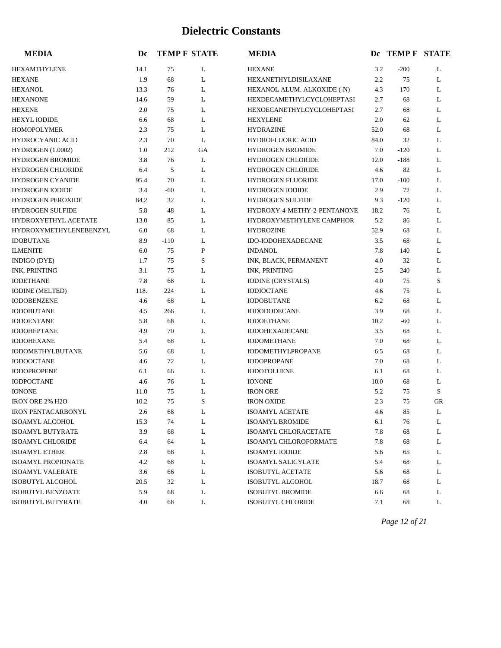| <b>MEDIA</b>                  | Dc   |        | <b>TEMP F STATE</b> | <b>MEDIA</b>                     |      | Dc TEMP F STATE |    |
|-------------------------------|------|--------|---------------------|----------------------------------|------|-----------------|----|
| HEXAMTHYLENE                  | 14.1 | 75     | L                   | <b>HEXANE</b>                    | 3.2  | $-200$          | L  |
| <b>HEXANE</b>                 | 1.9  | 68     | L                   | HEXANETHYLDISILAXANE             | 2.2  | 75              | L  |
| <b>HEXANOL</b>                | 13.3 | 76     | L                   | HEXANOL ALUM. ALKOXIDE (-N)      | 4.3  | 170             | L  |
| <b>HEXANONE</b>               | 14.6 | 59     | L                   | HEXDECAMETHYLCYCLOHEPTASI        | 2.7  | 68              | L  |
| <b>HEXENE</b>                 | 2.0  | 75     | L                   | <b>HEXOECANETHYLCYCLOHEPTASI</b> | 2.7  | 68              | L  |
| <b>HEXYL IODIDE</b>           | 6.6  | 68     | L                   | <b>HEXYLENE</b>                  | 2.0  | 62              | L  |
| <b>HOMOPOLYMER</b>            | 2.3  | 75     | L                   | <b>HYDRAZINE</b>                 | 52.0 | 68              | L  |
| <b>HYDROCYANIC ACID</b>       | 2.3  | 70     | L                   | HYDROFLUORIC ACID                | 84.0 | 32              | L  |
| HYDROGEN (1.0002)             | 1.0  | 212    | GA                  | <b>HYDROGEN BROMIDE</b>          | 7.0  | $-120$          | L  |
| <b>HYDROGEN BROMIDE</b>       | 3.8  | 76     | L                   | <b>HYDROGEN CHLORIDE</b>         | 12.0 | $-188$          | L  |
| <b>HYDROGEN CHLORIDE</b>      | 6.4  | 5      | L                   | <b>HYDROGEN CHLORIDE</b>         | 4.6  | 82              | L  |
| HYDROGEN CYANIDE              | 95.4 | 70     | L                   | HYDROGEN FLUORIDE                | 17.0 | $-100$          | L  |
| <b>HYDROGEN IODIDE</b>        | 3.4  | $-60$  | L                   | <b>HYDROGEN IODIDE</b>           | 2.9  | 72              | L  |
| <b>HYDROGEN PEROXIDE</b>      | 84.2 | 32     | L                   | <b>HYDROGEN SULFIDE</b>          | 9.3  | $-120$          | L  |
| <b>HYDROGEN SULFIDE</b>       | 5.8  | 48     | L                   | HYDROXY-4-METHY-2-PENTANONE      | 18.2 | 76              | L  |
| HYDROXYETHYL ACETATE          | 13.0 | 85     | L                   | HYDROXYMETHYLENE CAMPHOR         | 5.2  | 86              | L  |
| <b>HYDROXYMETHYLENEBENZYL</b> | 6.0  | 68     | L                   | <b>HYDROZINE</b>                 | 52.9 | 68              | L  |
| <b>IDOBUTANE</b>              | 8.9  | $-110$ | L                   | IDO-IODOHEXADECANE               | 3.5  | 68              | L  |
| <b>ILMENITE</b>               | 6.0  | 75     | $\mathbf P$         | <b>INDANOL</b>                   | 7.8  | 140             | L  |
| INDIGO (DYE)                  | 1.7  | 75     | S                   | INK, BLACK, PERMANENT            | 4.0  | 32              | L  |
| <b>INK, PRINTING</b>          | 3.1  | 75     | L                   | INK, PRINTING                    | 2.5  | 240             | L  |
| <b>IODETHANE</b>              | 7.8  | 68     | L                   | <b>IODINE (CRYSTALS)</b>         | 4.0  | 75              | S  |
| <b>IODINE</b> (MELTED)        | 118. | 224    | L                   | <b>IODIOCTANE</b>                | 4.6  | 75              | L  |
| <b>IODOBENZENE</b>            | 4.6  | 68     | L                   | <b>IODOBUTANE</b>                | 6.2  | 68              | L  |
| <b>IODOBUTANE</b>             | 4.5  | 266    | L                   | <b>IODODODECANE</b>              | 3.9  | 68              | L  |
| <b>IODOENTANE</b>             | 5.8  | 68     | L                   | <b>IODOETHANE</b>                | 10.2 | $-60$           | L  |
| <b>IODOHEPTANE</b>            | 4.9  | 70     | L                   | <b>IODOHEXADECANE</b>            | 3.5  | 68              | L  |
| <b>IODOHEXANE</b>             | 5.4  | 68     | L                   | <b>IODOMETHANE</b>               | 7.0  | 68              | L  |
| <b>IODOMETHYLBUTANE</b>       | 5.6  | 68     | L                   | IODOMETHYLPROPANE                | 6.5  | 68              | L  |
| <b>IODOOCTANE</b>             | 4.6  | 72     | L                   | <b>IODOPROPANE</b>               | 7.0  | 68              | L  |
| <b>IODOPROPENE</b>            | 6.1  | 66     | L                   | <b>IODOTOLUENE</b>               | 6.1  | 68              | L  |
| <b>IODPOCTANE</b>             | 4.6  | 76     | L                   | <b>IONONE</b>                    | 10.0 | 68              | L  |
| <b>IONONE</b>                 | 11.0 | 75     | L                   | <b>IRON ORE</b>                  | 5.2  | 75              | S  |
| <b>IRON ORE 2% H2O</b>        | 10.2 | 75     | S                   | <b>IRON OXIDE</b>                | 2.3  | 75              | GR |
| <b>IRON PENTACARBONYL</b>     | 2.6  | 68     | L                   | <b>ISOAMYL ACETATE</b>           | 4.6  | 85              | L  |
| ISOAMYL ALCOHOL               | 15.3 | 74     | L                   | <b>ISOAMYL BROMIDE</b>           | 6.1  | 76              | L  |
| <b>ISOAMYL BUTYRATE</b>       | 3.9  | 68     | L                   | ISOAMYL CHLORACETATE             | 7.8  | 68              | L  |
| <b>ISOAMYL CHLORIDE</b>       | 6.4  | 64     | L                   | ISOAMYL CHLOROFORMATE            | 7.8  | 68              | L  |
| <b>ISOAMYL ETHER</b>          | 2.8  | 68     | L                   | <b>ISOAMYL IODIDE</b>            | 5.6  | 65              | L  |
| <b>ISOAMYL PROPIONATE</b>     | 4.2  | 68     | L                   | <b>ISOAMYL SALICYLATE</b>        | 5.4  | 68              | L  |
| <b>ISOAMYL VALERATE</b>       | 3.6  | 66     | L                   | <b>ISOBUTYL ACETATE</b>          | 5.6  | 68              | L  |
| ISOBUTYL ALCOHOL              | 20.5 | 32     | L                   | ISOBUTYL ALCOHOL                 | 18.7 | 68              | L  |
| ISOBUTYL BENZOATE             | 5.9  | 68     | L                   | <b>ISOBUTYL BROMIDE</b>          | 6.6  | 68              | L  |
| ISOBUTYL BUTYRATE             | 4.0  | 68     | L                   | ISOBUTYL CHLORIDE                | 7.1  | 68              | L  |

*Page 12 of 21*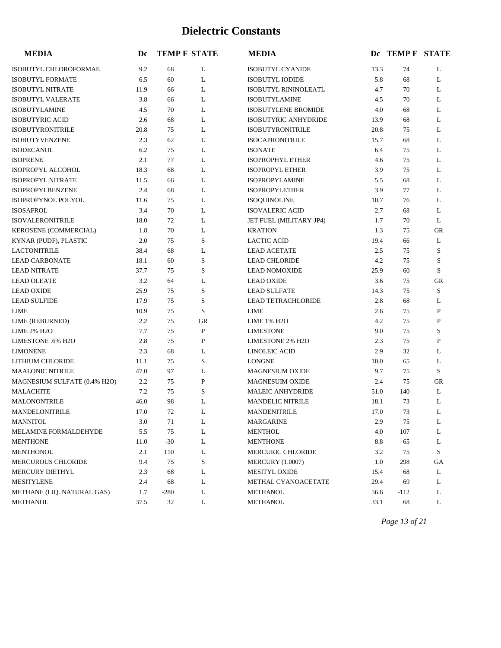| <b>MEDIA</b>                 | Dc   |        | <b>TEMP F STATE</b> | <b>MEDIA</b>                |      | Dc TEMP F STATE |             |
|------------------------------|------|--------|---------------------|-----------------------------|------|-----------------|-------------|
| ISOBUTYL CHLOROFORMAE        | 9.2  | 68     | L                   | ISOBUTYL CYANIDE            | 13.3 | 74              | L           |
| <b>ISOBUTYL FORMATE</b>      | 6.5  | 60     | L                   | <b>ISOBUTYL IODIDE</b>      | 5.8  | 68              | L           |
| <b>ISOBUTYL NITRATE</b>      | 11.9 | 66     | L                   | <b>ISOBUTYL RININOLEATL</b> | 4.7  | 70              | L           |
| <b>ISOBUTYL VALERATE</b>     | 3.8  | 66     | L                   | <b>ISOBUTYLAMINE</b>        | 4.5  | 70              | L           |
| <b>ISOBUTYLAMINE</b>         | 4.5  | 70     | L                   | <b>ISOBUTYLENE BROMIDE</b>  | 4.0  | 68              | L           |
| <b>ISOBUTYRIC ACID</b>       | 2.6  | 68     | L                   | ISOBUTYRIC ANHYDRIDE        | 13.9 | 68              | L           |
| <b>ISOBUTYRONITRILE</b>      | 20.8 | 75     | L                   | <b>ISOBUTYRONITRILE</b>     | 20.8 | 75              | L           |
| <b>ISOBUTYVENZENE</b>        | 2.3  | 62     | L                   | <b>ISOCAPRONITRILE</b>      | 15.7 | 68              | L           |
| <b>ISODECANOL</b>            | 6.2  | 75     | L                   | <b>ISONATE</b>              | 6.4  | 75              | L           |
| <b>ISOPRENE</b>              | 2.1  | 77     | L                   | <b>ISOPROPHYL ETHER</b>     | 4.6  | 75              | L           |
| ISOPROPYL ALCOHOL            | 18.3 | 68     | L                   | <b>ISOPROPYL ETHER</b>      | 3.9  | 75              | L           |
| <b>ISOPROPYL NITRATE</b>     | 11.5 | 66     | L                   | <b>ISOPROPYLAMINE</b>       | 5.5  | 68              | L           |
| <b>ISOPROPYLBENZENE</b>      | 2.4  | 68     | L                   | <b>ISOPROPYLETHER</b>       | 3.9  | 77              | L           |
| ISOPROPYNOL POLYOL           | 11.6 | 75     | L                   | <b>ISOQUINOLINE</b>         | 10.7 | 76              | L           |
| <b>ISOSAFROL</b>             | 3.4  | 70     | L                   | <b>ISOVALERIC ACID</b>      | 2.7  | 68              | L           |
| <b>ISOVALERONITRILE</b>      | 18.0 | 72     | L                   | JET FUEL (MILITARY-JP4)     | 1.7  | 70              | L           |
| KEROSENE (COMMERCIAL)        | 1.8  | 70     | L                   | <b>KRATION</b>              | 1.3  | 75              | GR          |
| KYNAR (PUDF), PLASTIC        | 2.0  | 75     | S                   | <b>LACTIC ACID</b>          | 19.4 | 66              | L           |
| <b>LACTONITRILE</b>          | 38.4 | 68     | L                   | <b>LEAD ACETATE</b>         | 2.5  | 75              | S           |
| <b>LEAD CARBONATE</b>        | 18.1 | 60     | S                   | <b>LEAD CHLORIDE</b>        | 4.2  | 75              | S           |
| <b>LEAD NITRATE</b>          | 37.7 | 75     | S                   | <b>LEAD NOMOXIDE</b>        | 25.9 | 60              | S           |
| <b>LEAD OLEATE</b>           | 3.2  | 64     | L                   | <b>LEAD OXIDE</b>           | 3.6  | 75              | <b>GR</b>   |
| <b>LEAD OXIDE</b>            | 25.9 | 75     | S                   | <b>LEAD SULFATE</b>         | 14.3 | 75              | S           |
| <b>LEAD SULFIDE</b>          | 17.9 | 75     | S                   | <b>LEAD TETRACHLORIDE</b>   | 2.8  | 68              | L           |
| <b>LIME</b>                  | 10.9 | 75     | S                   | LIME                        | 2.6  | 75              | P           |
| LIME (REBURNED)              | 2.2  | 75     | <b>GR</b>           | <b>LIME 1% H2O</b>          | 4.2  | 75              | $\mathbf P$ |
| <b>LIME 2% H2O</b>           | 7.7  | 75     | $\mathbf P$         | <b>LIMESTONE</b>            | 9.0  | 75              | S           |
| LIMESTONE .6% H2O            | 2.8  | 75     | P                   | <b>LIMESTONE 2% H2O</b>     | 2.3  | 75              | $\mathbf P$ |
| <b>LIMONENE</b>              | 2.3  | 68     | L                   | <b>LINOLEIC ACID</b>        | 2.9  | 32              | L           |
| LITHIUM CHLORIDE             | 11.1 | 75     | S                   | <b>LONGNE</b>               | 10.0 | 65              | L           |
| <b>MAALONIC NITRILE</b>      | 47.0 | 97     | L                   | MAGNESIUM OXIDE             | 9.7  | 75              | S           |
| MAGNESIUM SULFATE (0.4% H2O) | 2.2  | 75     | $\mathbf P$         | MAGNESUIM OXIDE             | 2.4  | 75              | <b>GR</b>   |
| <b>MALACHITE</b>             | 7.2  | 75     | S                   | <b>MALEIC ANHYDRIDE</b>     | 51.0 | 140             | L           |
| <b>MALONONTRILE</b>          | 46.0 | 98     | L                   | <b>MANDELIC NITRILE</b>     | 18.1 | 73              | L           |
| MANDELONITRILE               | 17.0 | 72     | L                   | MANDENITRILE                | 17.0 | 73              | L           |
| <b>MANNITOL</b>              | 3.0  | 71     | L                   | <b>MARGARINE</b>            | 2.9  | 75              | L           |
| MELAMINE FORMALDEHYDE        | 5.5  | 75     | L                   | <b>MENTHOL</b>              | 4.0  | 107             | L           |
| <b>MENTHONE</b>              | 11.0 | $-30$  | L                   | <b>MENTHONE</b>             | 8.8  | 65              | L           |
| MENTHONOL                    | 2.1  | 110    | L                   | <b>MERCURIC CHLORIDE</b>    | 3.2  | 75              | S           |
| MERCUROUS CHLORIDE           | 9.4  | 75     | S                   | <b>MERCURY</b> (1.0007)     | 1.0  | 298             | GА          |
| <b>MERCURY DIETHYL</b>       | 2.3  | 68     | L                   | <b>MESITYL OXIDE</b>        | 15.4 | 68              | L           |
| MESITYLENE                   | 2.4  | 68     | L                   | METHAL CYANOACETATE         | 29.4 | 69              | L           |
| METHANE (LIQ. NATURAL GAS)   | 1.7  | $-280$ | L                   | METHANOL                    | 56.6 | $-112$          | L           |
| <b>METHANOL</b>              | 37.5 | 32     | L                   | METHANOL                    | 33.1 | 68              | L           |

*Page 13 of 21*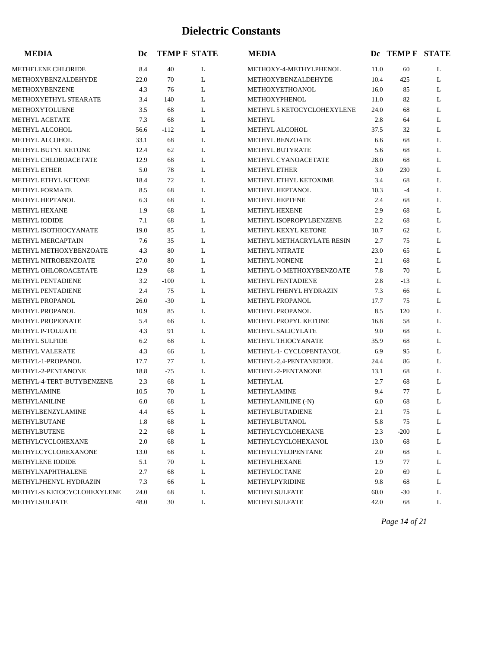| <b>MEDIA</b>               | Dc   |        | <b>TEMP F STATE</b> | <b>MEDIA</b>               |      | DC TEMP F STATE |   |
|----------------------------|------|--------|---------------------|----------------------------|------|-----------------|---|
| <b>METHELENE CHLORIDE</b>  | 8.4  | 40     | L                   | METHOXY-4-METHYLPHENOL     | 11.0 | 60              | L |
| METHOXYBENZALDEHYDE        | 22.0 | 70     | L                   | METHOXYBENZALDEHYDE        | 10.4 | 425             | L |
| METHOXYBENZENE             | 4.3  | 76     | L                   | METHOXYETHOANOL            | 16.0 | 85              | L |
| METHOXYETHYL STEARATE      | 3.4  | 140    | L                   | METHOXYPHENOL              | 11.0 | 82              | L |
| METHOXYTOLUENE             | 3.5  | 68     | L                   | METHYL 5 KETOCYCLOHEXYLENE | 24.0 | 68              | L |
| <b>METHYL ACETATE</b>      | 7.3  | 68     | L                   | <b>METHYL</b>              | 2.8  | 64              | L |
| <b>METHYL ALCOHOL</b>      | 56.6 | $-112$ | L                   | METHYL ALCOHOL             | 37.5 | 32              | L |
| METHYL ALCOHOL             | 33.1 | 68     | L                   | METHYL BENZOATE            | 6.6  | 68              | L |
| <b>METHYL BUTYL KETONE</b> | 12.4 | 62     | L                   | <b>METHYL BUTYRATE</b>     | 5.6  | 68              | L |
| METHYL CHLOROACETATE       | 12.9 | 68     | L                   | METHYL CYANOACETATE        | 28.0 | 68              | L |
| <b>METHYL ETHER</b>        | 5.0  | 78     | L                   | <b>METHYL ETHER</b>        | 3.0  | 230             | L |
| METHYL ETHYL KETONE        | 18.4 | 72     | L                   | METHYL ETHYL KETOXIME      | 3.4  | 68              | L |
| <b>METHYL FORMATE</b>      | 8.5  | 68     | L                   | METHYL HEPTANOL            | 10.3 | $-4$            | L |
| METHYL HEPTANOL            | 6.3  | 68     | L                   | <b>METHYL HEPTENE</b>      | 2.4  | 68              | L |
| <b>METHYL HEXANE</b>       | 1.9  | 68     | L                   | METHYL HEXENE              | 2.9  | 68              | L |
| <b>METHYL IODIDE</b>       | 7.1  | 68     | L                   | METHYL ISOPROPYLBENZENE    | 2.2  | 68              | L |
| METHYL ISOTHIOCYANATE      | 19.0 | 85     | L                   | METHYL KEXYL KETONE        | 10.7 | 62              | L |
| <b>METHYL MERCAPTAIN</b>   | 7.6  | 35     | L                   | METHYL METHACRYLATE RESIN  | 2.7  | 75              | L |
| METHYL METHOXYBENZOATE     | 4.3  | 80     | L                   | <b>METHYL NITRATE</b>      | 23.0 | 65              | L |
| METHYL NITROBENZOATE       | 27.0 | 80     | L                   | <b>METHYL NONENE</b>       | 2.1  | 68              | L |
| METHYL OHLOROACETATE       | 12.9 | 68     | L                   | METHYL O-METHOXYBENZOATE   | 7.8  | 70              | L |
| <b>METHYL PENTADIENE</b>   | 3.2  | $-100$ | L                   | <b>METHYL PENTADIENE</b>   | 2.8  | $-13$           | L |
| <b>METHYL PENTADIENE</b>   | 2.4  | 75     | L                   | METHYL PHENYL HYDRAZIN     | 7.3  | 66              | L |
| METHYL PROPANOL            | 26.0 | $-30$  | L                   | <b>METHYL PROPANOL</b>     | 17.7 | 75              | L |
| METHYL PROPANOL            | 10.9 | 85     | L                   | METHYL PROPANOL            | 8.5  | 120             | L |
| <b>METHYL PROPIONATE</b>   | 5.4  | 66     | L                   | METHYL PROPYL KETONE       | 16.8 | 58              | L |
| METHYL P-TOLUATE           | 4.3  | 91     | L                   | METHYL SALICYLATE          | 9.0  | 68              | L |
| <b>METHYL SULFIDE</b>      | 6.2  | 68     | L                   | <b>METHYL THIOCYANATE</b>  | 35.9 | 68              | L |
| <b>METHYL VALERATE</b>     | 4.3  | 66     | L                   | METHYL-1- CYCLOPENTANOL    | 6.9  | 95              | L |
| METHYL-1-PROPANOL          | 17.7 | 77     | L                   | METHYL-2,4-PENTANEDIOL     | 24.4 | 86              | L |
| METHYL-2-PENTANONE         | 18.8 | -75    | L                   | METHYL-2-PENTANONE         | 13.1 | 68              | L |
| METHYL-4-TERT-BUTYBENZENE  | 2.3  | 68     | L                   | METHYLAL                   | 2.7  | 68              | L |
| <b>METHYLAMINE</b>         | 10.5 | 70     | L                   | <b>METHYLAMINE</b>         | 9.4  | 77              | L |
| <b>METHYLANILINE</b>       | 6.0  | 68     | L                   | METHYLANILINE (-N)         | 6.0  | 68              | L |
| METHYLBENZYLAMINE          | 4.4  | 65     | L                   | METHYLBUTADIENE            | 2.1  | 75              | L |
| METHYLBUTANE               | 1.8  | 68     | L                   | METHYLBUTANOL              | 5.8  | 75              | L |
| METHYLBUTENE               | 2.2  | 68     | L                   | METHYLCYCLOHEXANE          | 2.3  | $-200$          | L |
| METHYLCYCLOHEXANE          | 2.0  | 68     | L                   | METHYLCYCLOHEXANOL         | 13.0 | 68              | L |
| METHYLCYCLOHEXANONE        | 13.0 | 68     | L                   | METHYLCYLOPENTANE          | 2.0  | 68              | L |
| <b>METHYLENE IODIDE</b>    | 5.1  | 70     | L                   | METHYLHEXANE               | 1.9  | 77              | L |
| METHYLNAPHTHALENE          | 2.7  | 68     | L                   | METHYLOCTANE               | 2.0  | 69              | L |
| METHYLPHENYL HYDRAZIN      | 7.3  | 66     | L                   | METHYLPYRIDINE             | 9.8  | 68              | L |
| METHYL-S KETOCYCLOHEXYLENE | 24.0 | 68     | L                   | METHYLSULFATE              | 60.0 | $-30$           | L |
| METHYLSULFATE              | 48.0 | 30     | L                   | METHYLSULFATE              | 42.0 | 68              | L |

*Page 14 of 21*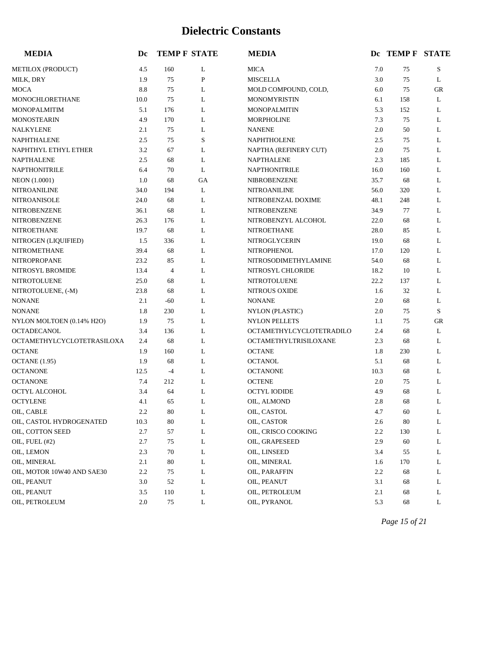| <b>MEDIA</b>               | Dc   | <b>TEMP F STATE</b> |              | <b>MEDIA</b>             |      | DC TEMP F STATE |           |
|----------------------------|------|---------------------|--------------|--------------------------|------|-----------------|-----------|
| METILOX (PRODUCT)          | 4.5  | 160                 | L            | <b>MICA</b>              | 7.0  | 75              | S         |
| MILK, DRY                  | 1.9  | 75                  | $\mathbf{P}$ | <b>MISCELLA</b>          | 3.0  | 75              | L         |
| <b>MOCA</b>                | 8.8  | 75                  | L            | MOLD COMPOUND, COLD,     | 6.0  | 75              | <b>GR</b> |
| MONOCHLORETHANE            | 10.0 | 75                  | L            | <b>MONOMYRISTIN</b>      | 6.1  | 158             | L         |
| MONOPALMITIM               | 5.1  | 176                 | L            | <b>MONOPALMITIN</b>      | 5.3  | 152             | L         |
| <b>MONOSTEARIN</b>         | 4.9  | 170                 | L            | <b>MORPHOLINE</b>        | 7.3  | 75              | L         |
| NALKYLENE                  | 2.1  | 75                  | L            | <b>NANENE</b>            | 2.0  | 50              | L         |
| NAPHTHALENE                | 2.5  | 75                  | S            | <b>NAPHTHOLENE</b>       | 2.5  | 75              | L         |
| NAPHTHYL ETHYL ETHER       | 3.2  | 67                  | L            | NAPTHA (REFINERY CUT)    | 2.0  | 75              | L         |
| <b>NAPTHALENE</b>          | 2.5  | 68                  | L            | <b>NAPTHALENE</b>        | 2.3  | 185             | L         |
| NAPTHONITRILE              | 6.4  | 70                  | L            | NAPTHONITRILE            | 16.0 | 160             | L         |
| NEON (1.0001)              | 1.0  | 68                  | GA           | NIBROBENZENE             | 35.7 | 68              | L         |
| <b>NITROANILINE</b>        | 34.0 | 194                 | L            | <b>NITROANILINE</b>      | 56.0 | 320             | L         |
| NITROANISOLE               | 24.0 | 68                  | L            | NITROBENZAL DOXIME       | 48.1 | 248             | L         |
| NITROBENZENE               | 36.1 | 68                  | L            | NITROBENZENE             | 34.9 | 77              | L         |
| NITROBENZENE               | 26.3 | 176                 | L            | NITROBENZYL ALCOHOL      | 22.0 | 68              | L         |
| <b>NITROETHANE</b>         | 19.7 | 68                  | L            | <b>NITROETHANE</b>       | 28.0 | 85              | L         |
| NITROGEN (LIQUIFIED)       | 1.5  | 336                 | L            | <b>NITROGLYCERIN</b>     | 19.0 | 68              | L         |
| <b>NITROMETHANE</b>        | 39.4 | 68                  | L            | NITROPHENOL              | 17.0 | 120             | L         |
| <b>NITROPROPANE</b>        | 23.2 | 85                  | L            | NITROSODIMETHYLAMINE     | 54.0 | 68              | L         |
| NITROSYL BROMIDE           | 13.4 | $\overline{4}$      | L            | NITROSYL CHLORIDE        | 18.2 | 10              | L         |
| NITROTOLUENE               | 25.0 | 68                  | L            | NITROTOLUENE             | 22.2 | 137             | L         |
| NITROTOLUENE, (-M)         | 23.8 | 68                  | L            | <b>NITROUS OXIDE</b>     | 1.6  | 32              | L         |
| <b>NONANE</b>              | 2.1  | $-60$               | L            | <b>NONANE</b>            | 2.0  | 68              | L         |
| <b>NONANE</b>              | 1.8  | 230                 | L            | NYLON (PLASTIC)          | 2.0  | 75              | S         |
| NYLON MOLTOEN (0.14% H2O)  | 1.9  | 75                  | L            | <b>NYLON PELLETS</b>     | 1.1  | 75              | GR        |
| <b>OCTADECANOL</b>         | 3.4  | 136                 | L            | OCTAMETHYLCYCLOTETRADILO | 2.4  | 68              | L         |
| OCTAMETHYLCYCLOTETRASILOXA | 2.4  | 68                  | L            | OCTAMETHYLTRISILOXANE    | 2.3  | 68              | L         |
| <b>OCTANE</b>              | 1.9  | 160                 | L            | <b>OCTANE</b>            | 1.8  | 230             | L         |
| OCTANE (1.95)              | 1.9  | 68                  | L            | <b>OCTANOL</b>           | 5.1  | 68              | L         |
| <b>OCTANONE</b>            | 12.5 | $-4$                | L            | <b>OCTANONE</b>          | 10.3 | 68              | L         |
| <b>OCTANONE</b>            | 7.4  | 212                 | L            | <b>OCTENE</b>            | 2.0  | 75              | L         |
| OCTYL ALCOHOL              | 3.4  | 64                  | L            | <b>OCTYL IODIDE</b>      | 4.9  | 68              | L         |
| <b>OCTYLENE</b>            | 4.1  | 65                  | L            | OIL, ALMOND              | 2.8  | 68              | L         |
| OIL, CABLE                 | 2.2  | 80                  | L            | OIL, CASTOL              | 4.7  | 60              | L         |
| OIL, CASTOL HYDROGENATED   | 10.3 | 80                  | L            | OIL, CASTOR              | 2.6  | 80              | L         |
| OIL, COTTON SEED           | 2.7  | 57                  | L            | OIL, CRISCO COOKING      | 2.2  | 130             | L         |
| OIL, FUEL (#2)             | 2.7  | 75                  | L            | OIL, GRAPESEED           | 2.9  | 60              | L         |
| OIL, LEMON                 | 2.3  | 70                  | L            | OIL, LINSEED             | 3.4  | 55              | L         |
| OIL, MINERAL               | 2.1  | $80\,$              | L            | OIL, MINERAL             | 1.6  | 170             | L         |
| OIL, MOTOR 10W40 AND SAE30 | 2.2  | 75                  | L            | OIL, PARAFFIN            | 2.2  | 68              | L         |
| OIL, PEANUT                | 3.0  | 52                  | L            | OIL, PEANUT              | 3.1  | 68              | L         |
| OIL, PEANUT                | 3.5  | 110                 | L            | OIL, PETROLEUM           | 2.1  | 68              | L         |
| OIL, PETROLEUM             | 2.0  | 75                  | L            | OIL, PYRANOL             | 5.3  | 68              | L         |

*Page 15 of 21*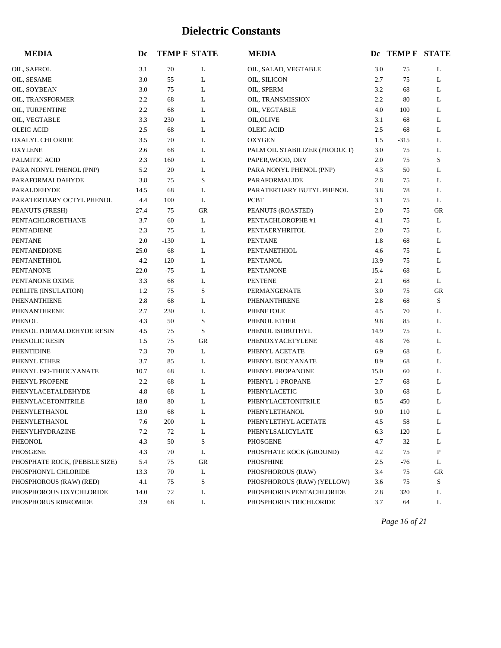| <b>MEDIA</b>                  | Dc   |        | <b>TEMP F STATE</b> | <b>MEDIA</b>                  |      | DC TEMP F STATE |           |
|-------------------------------|------|--------|---------------------|-------------------------------|------|-----------------|-----------|
| OIL, SAFROL                   | 3.1  | 70     | L                   | OIL, SALAD, VEGTABLE          | 3.0  | 75              | L         |
| OIL, SESAME                   | 3.0  | 55     | L                   | OIL, SILICON                  | 2.7  | 75              | L         |
| OIL, SOYBEAN                  | 3.0  | 75     | L                   | OIL, SPERM                    | 3.2  | 68              | L         |
| OIL, TRANSFORMER              | 2.2  | 68     | L                   | OIL, TRANSMISSION             | 2.2  | 80              | L         |
| OIL, TURPENTINE               | 2.2  | 68     | L                   | OIL, VEGTABLE                 | 4.0  | 100             | L         |
| OIL, VEGTABLE                 | 3.3  | 230    | L                   | <b>OIL, OLIVE</b>             | 3.1  | 68              | L         |
| <b>OLEIC ACID</b>             | 2.5  | 68     | L                   | <b>OLEIC ACID</b>             | 2.5  | 68              | L         |
| OXALYL CHLORIDE               | 3.5  | 70     | L                   | <b>OXYGEN</b>                 | 1.5  | $-315$          | L         |
| <b>OXYLENE</b>                | 2.6  | 68     | L                   | PALM OIL STABILIZER (PRODUCT) | 3.0  | 75              | L         |
| PALMITIC ACID                 | 2.3  | 160    | L                   | PAPER, WOOD, DRY              | 2.0  | 75              | S         |
| PARA NONYL PHENOL (PNP)       | 5.2  | 20     | L                   | PARA NONYL PHENOL (PNP)       | 4.3  | 50              | L         |
| PARAFORMALDAHYDE              | 3.8  | 75     | S                   | PARAFORMALIDE                 | 2.8  | 75              | L         |
| PARALDEHYDE                   | 14.5 | 68     | L                   | PARATERTIARY BUTYL PHENOL     | 3.8  | 78              | L         |
| PARATERTIARY OCTYL PHENOL     | 4.4  | 100    | L                   | <b>PCBT</b>                   | 3.1  | 75              | L         |
| PEANUTS (FRESH)               | 27.4 | 75     | <b>GR</b>           | PEANUTS (ROASTED)             | 2.0  | 75              | <b>GR</b> |
| PENTACHLOROETHANE             | 3.7  | 60     | L                   | PENTACHLOROPHE #1             | 4.1  | 75              | L         |
| <b>PENTADIENE</b>             | 2.3  | 75     | L                   | PENTAERYHRITOL                | 2.0  | 75              | L         |
| <b>PENTANE</b>                | 2.0  | $-130$ | L                   | <b>PENTANE</b>                | 1.8  | 68              | L         |
| <b>PENTANEDIONE</b>           | 25.0 | 68     | L                   | PENTANETHIOL                  | 4.6  | 75              | L         |
| <b>PENTANETHIOL</b>           | 4.2  | 120    | L                   | <b>PENTANOL</b>               | 13.9 | 75              | L         |
| <b>PENTANONE</b>              | 22.0 | $-75$  | L                   | <b>PENTANONE</b>              | 15.4 | 68              | L         |
| PENTANONE OXIME               | 3.3  | 68     | L                   | <b>PENTENE</b>                | 2.1  | 68              | L         |
| PERLITE (INSULATION)          | 1.2  | 75     | S                   | PERMANGENATE                  | 3.0  | 75              | GR        |
| PHENANTHIENE                  | 2.8  | 68     | L                   | PHENANTHRENE                  | 2.8  | 68              | S         |
| PHENANTHRENE                  | 2.7  | 230    | L                   | PHENETOLE                     | 4.5  | 70              | L         |
| PHENOL                        | 4.3  | 50     | $\mathbf S$         | PHENOL ETHER                  | 9.8  | 85              | L         |
| PHENOL FORMALDEHYDE RESIN     | 4.5  | 75     | S                   | PHENOL ISOBUTHYL              | 14.9 | 75              | L         |
| PHENOLIC RESIN                | 1.5  | 75     | GR                  | PHENOXYACETYLENE              | 4.8  | 76              | L         |
| PHENTIDINE                    | 7.3  | 70     | L                   | PHENYL ACETATE                | 6.9  | 68              | L         |
| PHENYL ETHER                  | 3.7  | 85     | L                   | PHENYL ISOCYANATE             | 8.9  | 68              | L         |
| PHENYL ISO-THIOCYANATE        | 10.7 | 68     | L                   | PHENYL PROPANONE              | 15.0 | 60              | L         |
| PHENYL PROPENE                | 2.2  | 68     | L                   | PHENYL-1-PROPANE              | 2.7  | 68              | L         |
| PHENYLACETALDEHYDE            | 4.8  | 68     | L                   | PHENYLACETIC                  | 3.0  | 68              | L         |
| PHENYLACETONITRILE            | 18.0 | 80     | L                   | PHENYLACETONITRILE            | 8.5  | 450             | L         |
| PHENYLETHANOL                 | 13.0 | 68     | L                   | PHENYLETHANOL                 | 9.0  | 110             | L         |
| PHENYLETHANOL                 | 7.6  | 200    | L                   | PHENYLETHYL ACETATE           | 4.5  | 58              | L         |
| PHENYLHYDRAZINE               | 7.2  | 72     | L                   | PHENYLSALICYLATE              | 6.3  | 120             | L         |
| PHEONOL                       | 4.3  | 50     | S                   | PHOSGENE                      | 4.7  | 32              | L         |
| PHOSGENE                      | 4.3  | 70     | L                   | PHOSPHATE ROCK (GROUND)       | 4.2  | 75              | P         |
| PHOSPHATE ROCK, (PEBBLE SIZE) | 5.4  | 75     | GR                  | PHOSPHINE                     | 2.5  | $-76$           | L         |
| PHOSPHONYL CHLORIDE           | 13.3 | 70     | L                   | PHOSPHOROUS (RAW)             | 3.4  | 75              | GR        |
| PHOSPHOROUS (RAW) (RED)       | 4.1  | 75     | S                   | PHOSPHOROUS (RAW) (YELLOW)    | 3.6  | 75              | S         |
| PHOSPHOROUS OXYCHLORIDE       | 14.0 | 72     | L                   | PHOSPHORUS PENTACHLORIDE      | 2.8  | 320             | L         |
| PHOSPHORUS RIBROMIDE          | 3.9  | 68     | L                   | PHOSPHORUS TRICHLORIDE        | 3.7  | 64              | L         |

*Page 16 of 21*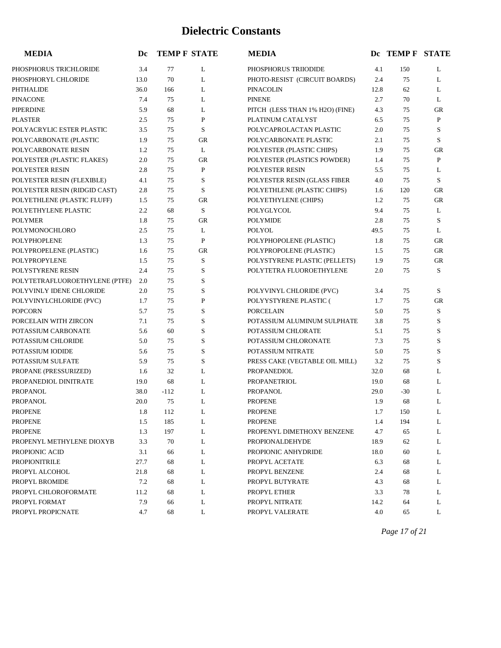| <b>MEDIA</b>                   | Dc   | <b>TEMP F STATE</b> |             | <b>MEDIA</b>                    |      | Dc TEMP F STATE |             |
|--------------------------------|------|---------------------|-------------|---------------------------------|------|-----------------|-------------|
| PHOSPHORUS TRICHLORIDE         | 3.4  | 77                  | L           | PHOSPHORUS TRIIODIDE            | 4.1  | 150             | L           |
| PHOSPHORYL CHLORIDE            | 13.0 | 70                  | L           | PHOTO-RESIST (CIRCUIT BOARDS)   | 2.4  | 75              | L           |
| PHTHALIDE                      | 36.0 | 166                 | L           | <b>PINACOLIN</b>                | 12.8 | 62              | L           |
| <b>PINACONE</b>                | 7.4  | 75                  | L           | <b>PINENE</b>                   | 2.7  | 70              | L           |
| <b>PIPERDINE</b>               | 5.9  | 68                  | L           | PITCH (LESS THAN 1% H2O) (FINE) | 4.3  | 75              | GR          |
| <b>PLASTER</b>                 | 2.5  | 75                  | ${\bf P}$   | PLATINUM CATALYST               | 6.5  | 75              | ${\bf P}$   |
| POLYACRYLIC ESTER PLASTIC      | 3.5  | 75                  | S           | POLYCAPROLACTAN PLASTIC         | 2.0  | 75              | S           |
| POLYCARBONATE (PLASTIC         | 1.9  | 75                  | <b>GR</b>   | POLYCARBONATE PLASTIC           | 2.1  | 75              | S           |
| POLYCARBONATE RESIN            | 1.2  | 75                  | L           | POLYESTER (PLASTIC CHIPS)       | 1.9  | 75              | <b>GR</b>   |
| POLYESTER (PLASTIC FLAKES)     | 2.0  | 75                  | $G$ R       | POLYESTER (PLASTICS POWDER)     | 1.4  | 75              | P           |
| POLYESTER RESIN                | 2.8  | 75                  | P           | POLYESTER RESIN                 | 5.5  | 75              | L           |
| POLYESTER RESIN (FLEXIBLE)     | 4.1  | 75                  | S           | POLYESTER RESIN (GLASS FIBER    | 4.0  | 75              | S           |
| POLYESTER RESIN (RIDGID CAST)  | 2.8  | 75                  | S           | POLYETHLENE (PLASTIC CHIPS)     | 1.6  | 120             | GR          |
| POLYETHLENE (PLASTIC FLUFF)    | 1.5  | 75                  | <b>GR</b>   | POLYETHYLENE (CHIPS)            | 1.2  | 75              | GR          |
| POLYETHYLENE PLASTIC           | 2.2  | 68                  | S           | POLYGLYCOL                      | 9.4  | 75              | L           |
| <b>POLYMER</b>                 | 1.8  | 75                  | GR          | <b>POLYMIDE</b>                 | 2.8  | 75              | S           |
| POLYMONOCHLORO                 | 2.5  | 75                  | L           | POLYOL                          | 49.5 | 75              | L           |
| <b>POLYPHOPLENE</b>            | 1.3  | 75                  | ${\bf P}$   | POLYPHOPOLENE (PLASTIC)         | 1.8  | 75              | GR          |
| POLYPROPELENE (PLASTIC)        | 1.6  | 75                  | GR          | POLYPROPOLENE (PLASTIC)         | 1.5  | 75              | GR          |
| POLYPROPYLENE                  | 1.5  | 75                  | S           | POLYSTYRENE PLASTIC (PELLETS)   | 1.9  | 75              | GR          |
| POLYSTYRENE RESIN              | 2.4  | 75                  | S           | POLYTETRA FLUOROETHYLENE        | 2.0  | 75              | S           |
| POLYTETRAFLUOROETHYLENE (PTFE) | 2.0  | 75                  | S           |                                 |      |                 |             |
| POLYVINLY IDENE CHLORIDE       | 2.0  | 75                  | S           | POLYVINYL CHLORIDE (PVC)        | 3.4  | 75              | S           |
| POLYVINYLCHLORIDE (PVC)        | 1.7  | 75                  | P           | POLYYSTYRENE PLASTIC (          | 1.7  | 75              | GR          |
| <b>POPCORN</b>                 | 5.7  | 75                  | S           | <b>PORCELAIN</b>                | 5.0  | 75              | S           |
| PORCELAIN WITH ZIRCON          | 7.1  | 75                  | $\mathbf S$ | POTASSIUM ALUMINUM SULPHATE     | 3.8  | 75              | $\mathbf S$ |
| POTASSIUM CARBONATE            | 5.6  | 60                  | $\mathbf S$ | POTASSIUM CHLORATE              | 5.1  | 75              | S           |
| POTASSIUM CHLORIDE             | 5.0  | 75                  | $\mathbf S$ | POTASSIUM CHLORONATE            | 7.3  | 75              | S           |
| POTASSIUM IODIDE               | 5.6  | 75                  | S           | POTASSIUM NITRATE               | 5.0  | 75              | S           |
| POTASSIUM SULFATE              | 5.9  | 75                  | $\mathbf S$ | PRESS CAKE (VEGTABLE OIL MILL)  | 3.2  | 75              | S           |
| PROPANE (PRESSURIZED)          | 1.6  | 32                  | L           | PROPANEDIOL                     | 32.0 | 68              | L           |
| PROPANEDIOL DINITRATE          | 19.0 | 68                  | L           | PROPANETRIOL                    | 19.0 | 68              | L           |
| <b>PROPANOL</b>                | 38.0 | $-112$              | L           | <b>PROPANOL</b>                 | 29.0 | $-30$           | L           |
| <b>PROPANOL</b>                | 20.0 | 75                  | L           | <b>PROPENE</b>                  | 1.9  | 68              | L           |
| <b>PROPENE</b>                 | 1.8  | 112                 | L           | <b>PROPENE</b>                  | 1.7  | 150             | L           |
| <b>PROPENE</b>                 | 1.5  | 185                 | L           | <b>PROPENE</b>                  | 1.4  | 194             | L           |
| <b>PROPENE</b>                 | 1.3  | 197                 | L           | PROPENYL DIMETHOXY BENZENE      | 4.7  | 65              | L           |
| PROPENYL METHYLENE DIOXYB      | 3.3  | 70                  | L           | PROPIONALDEHYDE                 | 18.9 | 62              | L           |
| PROPIONIC ACID                 | 3.1  | 66                  | L           | PROPIONIC ANHYDRIDE             | 18.0 | 60              | L           |
| PROPIONITRILE                  | 27.7 | 68                  | L           | PROPYL ACETATE                  | 6.3  | 68              | L           |
| PROPYL ALCOHOL                 | 21.8 | 68                  | L           | PROPYL BENZENE                  | 2.4  | 68              | L           |
| PROPYL BROMIDE                 | 7.2  | 68                  | L           | PROPYL BUTYRATE                 | 4.3  | 68              | L           |
| PROPYL CHLOROFORMATE           | 11.2 | 68                  | L           | PROPYL ETHER                    | 3.3  | 78              | L           |
| PROPYL FORMAT                  | 7.9  | 66                  | L           | PROPYL NITRATE                  | 14.2 | 64              | L           |
| PROPYL PROPICNATE              | 4.7  | 68                  | L           | PROPYL VALERATE                 | 4.0  | 65              | L           |

*Page 17 of 21*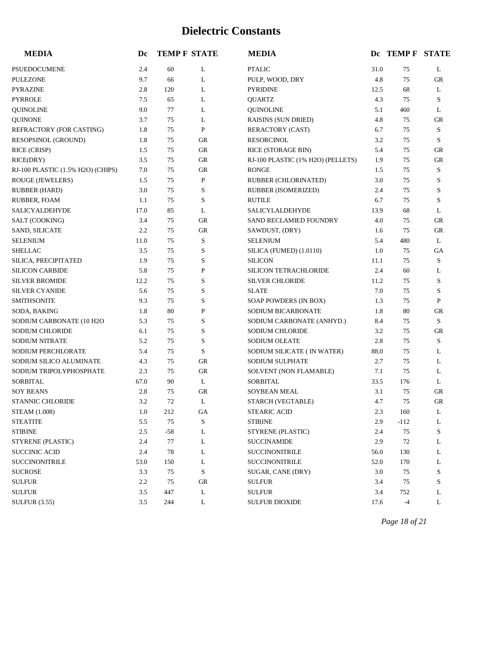| <b>MEDIA</b>                      | Dc   |       | <b>TEMP F STATE</b> | <b>MEDIA</b>                      |      | Dc TEMP F STATE |              |
|-----------------------------------|------|-------|---------------------|-----------------------------------|------|-----------------|--------------|
| PSUEDOCUMENE                      | 2.4  | 60    | L                   | <b>PTALIC</b>                     | 31.0 | 75              | L            |
| <b>PULEZONE</b>                   | 9.7  | 66    | L                   | PULP, WOOD, DRY                   | 4.8  | 75              | GR           |
| <b>PYRAZINE</b>                   | 2.8  | 120   | L                   | <b>PYRIDINE</b>                   | 12.5 | 68              | L            |
| <b>PYRROLE</b>                    | 7.5  | 65    | L                   | <b>QUARTZ</b>                     | 4.3  | 75              | S            |
| <b>QUINOLINE</b>                  | 9.0  | 77    | L                   | <b>QUINOLINE</b>                  | 5.1  | 460             | L            |
| <b>QUINONE</b>                    | 3.7  | 75    | L                   | <b>RAISINS (SUN DRIED)</b>        | 4.8  | 75              | GR           |
| REFRACTORY (FOR CASTING)          | 1.8  | 75    | $\mathbf{P}$        | RERACTORY (CAST)                  | 6.7  | 75              | S            |
| RESOPSINOL (GROUND)               | 1.8  | 75    | ${\rm GR}$          | <b>RESORCINOL</b>                 | 3.2  | 75              | S            |
| RICE (CRISP)                      | 1.5  | 75    | GR                  | RICE (STORAGE BIN)                | 5.4  | 75              | GR           |
| RICE(DRY)                         | 3.5  | 75    | ${\rm GR}$          | RJ-100 PLASTIC (1% H2O) (PELLETS) | 1.9  | 75              | GR           |
| RJ-100 PLASTIC (1.5% H2O) (CHIPS) | 7.0  | 75    | ${\rm GR}$          | <b>RONGE</b>                      | 1.5  | 75              | S            |
| ROUGE (JEWELERS)                  | 1.5  | 75    | $\mathbf P$         | RUBBER (CHLORINATED)              | 3.0  | 75              | S            |
| <b>RUBBER (HARD)</b>              | 3.0  | 75    | S                   | RUBBER (ISOMERIZED)               | 2.4  | 75              | S            |
| RUBBER, FOAM                      | 1.1  | 75    | S                   | <b>RUTILE</b>                     | 6.7  | 75              | S            |
| SALICYALDEHYDE                    | 17.0 | 85    | L                   | SALICYLALDEHYDE                   | 13.9 | 68              | L            |
| SALT (COOKING)                    | 3.4  | 75    | GR                  | SAND RECLAMIED FOUNDRY            | 4.0  | 75              | GR           |
| SAND, SILICATE                    | 2.2  | 75    | <b>GR</b>           | SAWDUST, (DRY)                    | 1.6  | 75              | GR           |
| <b>SELENIUM</b>                   | 11.0 | 75    | S                   | <b>SELENIUM</b>                   | 5.4  | 480             | L            |
| <b>SHELLAC</b>                    | 3.5  | 75    | S                   | SILICA (FUMED) (1.0110)           | 1.0  | 75              | GA           |
| SILICA, PRECIPITATED              | 1.9  | 75    | S                   | <b>SILICON</b>                    | 11.1 | 75              | S            |
| <b>SILICON CARBIDE</b>            | 5.8  | 75    | $\mathbf{P}$        | <b>SILICON TETRACHLORIDE</b>      | 2.4  | 60              | L            |
| <b>SILVER BROMIDE</b>             | 12.2 | 75    | S                   | <b>SILVER CHLORIDE</b>            | 11.2 | 75              | S            |
| <b>SILVER CYANIDE</b>             | 5.6  | 75    | S                   | <b>SLATE</b>                      | 7.0  | 75              | S            |
| <b>SMITHSONITE</b>                | 9.3  | 75    | S                   | SOAP POWDERS (IN BOX)             | 1.3  | 75              | $\mathbf{P}$ |
| SODA, BAKING                      | 1.8  | 80    | $\mathbf P$         | SODIUM BICARBONATE                | 1.8  | 80              | GR           |
| SODIUM CARBONATE (10 H2O          | 5.3  | 75    | $\mathbf S$         | SODIUM CARBONATE (ANHYD.)         | 8.4  | 75              | S            |
| SODIUM CHLORIDE                   | 6.1  | 75    | S                   | SODIUM CHLORIDE                   | 3.2  | 75              | GR           |
| <b>SODIUM NITRATE</b>             | 5.2  | 75    | $\mathbf S$         | SODIUM OLEATE                     | 2.8  | 75              | S            |
| SODIUM PERCHLORATE                | 5.4  | 75    | S                   | SODIUM SILICATE ( IN WATER)       | 88.0 | 75              | L            |
| SODIUM SILICO ALUMINATE           | 4.3  | 75    | <b>GR</b>           | SODIUM SULPHATE                   | 2.7  | 75              | L            |
| SODIUM TRIPOLYPHOSPHATE           | 2.3  | 75    | ${\rm GR}$          | SOLVENT (NON FLAMABLE)            | 7.1  | 75              | L            |
| <b>SORBITAL</b>                   | 67.0 | 90    | L                   | <b>SORBITAL</b>                   | 33.5 | 176             | L            |
| <b>SOY BEANS</b>                  | 2.8  | 75    | <b>GR</b>           | <b>SOYBEAN MEAL</b>               | 3.1  | 75              | GR           |
| <b>STANNIC CHLORIDE</b>           | 3.2  | 72    | L                   | STARCH (VEGTABLE)                 | 4.7  | 75              | GR           |
| <b>STEAM (1.008)</b>              | 1.0  | 212   | GA                  | <b>STEARIC ACID</b>               | 2.3  | 160             | L            |
| <b>STEATITE</b>                   | 5.5  | 75    | S                   | <b>STIBINE</b>                    | 2.9  | $-112$          | L            |
| <b>STIBINE</b>                    | 2.5  | $-58$ | L                   | STYRENE (PLASTIC)                 | 2.4  | 75              | S            |
| STYRENE (PLASTIC)                 | 2.4  | 77    | L                   | <b>SUCCINAMIDE</b>                | 2.9  | 72              | L            |
| <b>SUCCINIC ACID</b>              | 2.4  | 78    | L                   | <b>SUCCINONITRILE</b>             | 56.0 | 130             | L            |
| <b>SUCCINONITRILE</b>             | 53.0 | 150   | L                   | <b>SUCCINONITRILE</b>             | 52.0 | 170             | L            |
| <b>SUCROSE</b>                    | 3.3  | 75    | ${\bf S}$           | SUGAR, CANE (DRY)                 | 3.0  | 75              | S            |
| <b>SULFUR</b>                     | 2.2  | 75    | <b>GR</b>           | <b>SULFUR</b>                     | 3.4  | 75              | S            |
| <b>SULFUR</b>                     | 3.5  | 447   | L                   | <b>SULFUR</b>                     | 3.4  | 752             | L            |
| <b>SULFUR (3.55)</b>              | 3.5  | 244   | L                   | <b>SULFUR DIOXIDE</b>             | 17.6 | $-4$            | L            |

*Page 18 of 21*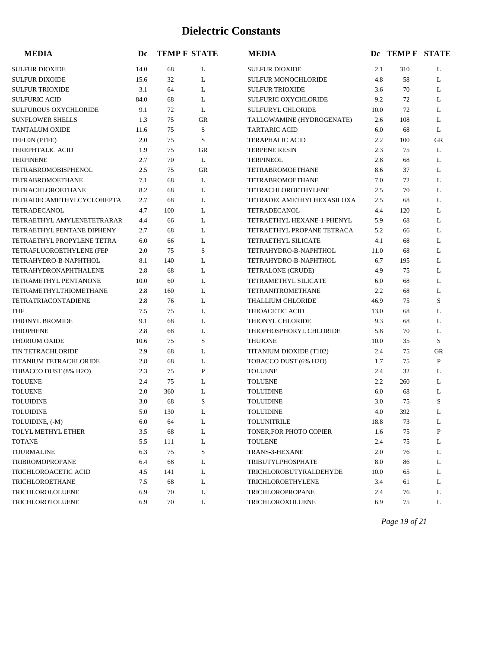| <b>MEDIA</b>                  | Dc   |     | <b>TEMP F STATE</b> | <b>MEDIA</b>                |      | Dc TEMP F STATE |           |
|-------------------------------|------|-----|---------------------|-----------------------------|------|-----------------|-----------|
| <b>SULFUR DIOXIDE</b>         | 14.0 | 68  | L                   | <b>SULFUR DIOXIDE</b>       | 2.1  | 310             | L         |
| <b>SULFUR DIXOIDE</b>         | 15.6 | 32  | L                   | <b>SULFUR MONOCHLORIDE</b>  | 4.8  | 58              | L         |
| <b>SULFUR TRIOXIDE</b>        | 3.1  | 64  | L                   | <b>SULFUR TRIOXIDE</b>      | 3.6  | 70              | L         |
| <b>SULFURIC ACID</b>          | 84.0 | 68  | L                   | <b>SULFURIC OXYCHLORIDE</b> | 9.2  | 72              | L         |
| <b>SULFUROUS OXYCHLORIDE</b>  | 9.1  | 72  | L                   | <b>SULFURYL CHLORIDE</b>    | 10.0 | 72              | L         |
| <b>SUNFLOWER SHELLS</b>       | 1.3  | 75  | <b>GR</b>           | TALLOWAMINE (HYDROGENATE)   | 2.6  | 108             | L         |
| <b>TANTALUM OXIDE</b>         | 11.6 | 75  | S                   | <b>TARTARIC ACID</b>        | 6.0  | 68              | L         |
| TEFLON (PTFE)                 | 2.0  | 75  | S                   | <b>TERAPHALIC ACID</b>      | 2.2  | 100             | <b>GR</b> |
| <b>TEREPHTALIC ACID</b>       | 1.9  | 75  | <b>GR</b>           | <b>TERPENE RESIN</b>        | 2.3  | 75              | L         |
| <b>TERPINENE</b>              | 2.7  | 70  | L                   | <b>TERPINEOL</b>            | 2.8  | 68              | L         |
| TETRABROMOBISPHENOL           | 2.5  | 75  | <b>GR</b>           | TETRABROMOETHANE            | 8.6  | 37              | L         |
| <b>TETRABROMOETHANE</b>       | 7.1  | 68  | L                   | <b>TETRABROMOETHANE</b>     | 7.0  | 72              | L         |
| <b>TETRACHLOROETHANE</b>      | 8.2  | 68  | L                   | TETRACHLOROETHYLENE         | 2.5  | 70              | L         |
| TETRADECAMETHYLCYCLOHEPTA     | 2.7  | 68  | L                   | TETRADECAMETHYLHEXASILOXA   | 2.5  | 68              | L         |
| <b>TETRADECANOL</b>           | 4.7  | 100 | L                   | <b>TETRADECANOL</b>         | 4.4  | 120             | L         |
| TETRAETHYL AMYLENETETRARAR    | 4.4  | 66  | L                   | TETRAETHYL HEXANE-1-PHENYL  | 5.9  | 68              | L         |
| TETRAETHYL PENTANE DIPHENY    | 2.7  | 68  | L                   | TETRAETHYL PROPANE TETRACA  | 5.2  | 66              | L         |
| TETRAETHYL PROPYLENE TETRA    | 6.0  | 66  | L                   | <b>TETRAETHYL SILICATE</b>  | 4.1  | 68              | L         |
| TETRAFLUOROETHYLENE (FEP      | 2.0  | 75  | S                   | TETRAHYDRO-B-NAPHTHOL       | 11.0 | 68              | L         |
| TETRAHYDRO-B-NAPHTHOL         | 8.1  | 140 | L                   | TETRAHYDRO-B-NAPHTHOL       | 6.7  | 195             | L         |
| <b>TETRAHYDRONAPHTHALENE</b>  | 2.8  | 68  | L                   | TETRALONE (CRUDE)           | 4.9  | 75              | L         |
| TETRAMETHYL PENTANONE         | 10.0 | 60  | L                   | <b>TETRAMETHYL SILICATE</b> | 6.0  | 68              | L         |
| <b>TETRAMETHYLTHIOMETHANE</b> | 2.8  | 160 | L                   | <b>TETRANITROMETHANE</b>    | 2.2  | 68              | L         |
| TETRATRIACONTADIENE           | 2.8  | 76  | L                   | <b>THALLIUM CHLORIDE</b>    | 46.9 | 75              | S         |
| <b>THF</b>                    | 7.5  | 75  | L                   | THIOACETIC ACID             | 13.0 | 68              | L         |
| THIONYL BROMIDE               | 9.1  | 68  | L                   | THIONYL CHLORIDE            | 9.3  | 68              | L         |
| <b>THIOPHENE</b>              | 2.8  | 68  | L                   | THIOPHOSPHORYL CHLORIDE     | 5.8  | 70              | L         |
| <b>THORIUM OXIDE</b>          | 10.6 | 75  | S                   | <b>THUJONE</b>              | 10.0 | 35              | S         |
| <b>TIN TETRACHLORIDE</b>      | 2.9  | 68  | L                   | TITANIUM DIOXIDE (T102)     | 2.4  | 75              | <b>GR</b> |
| TITANIUM TETRACHLORIDE        | 2.8  | 68  | L                   | TOBACCO DUST (6% H2O)       | 1.7  | 75              | P         |
| TOBACCO DUST (8% H2O)         | 2.3  | 75  | $\mathbf{P}$        | <b>TOLUENE</b>              | 2.4  | 32              | L         |
| <b>TOLUENE</b>                | 2.4  | 75  | L                   | <b>TOLUENE</b>              | 2.2  | 260             | L         |
| <b>TOLUENE</b>                | 2.0  | 360 | L                   | <b>TOLUIDINE</b>            | 6.0  | 68              | L         |
| <b>TOLUIDINE</b>              | 3.0  | 68  | S                   | <b>TOLUIDINE</b>            | 3.0  | 75              | S         |
| <b>TOLUIDINE</b>              | 5.0  | 130 | L                   | <b>TOLUIDINE</b>            | 4.0  | 392             | L         |
| TOLUIDINE, (-M)               | 6.0  | 64  | L                   | <b>TOLUNITRILE</b>          | 18.8 | 73              | L         |
| TOLYL METHYL ETHER            | 3.5  | 68  | L                   | TONER, FOR PHOTO COPIER     | 1.6  | 75              | P         |
| <b>TOTANE</b>                 | 5.5  | 111 | L                   | <b>TOULENE</b>              | 2.4  | 75              | L         |
| <b>TOURMALINE</b>             | 6.3  | 75  | S                   | TRANS-3-HEXANE              | 2.0  | 76              | L         |
| <b>TRIBROMOPROPANE</b>        | 6.4  | 68  | L                   | <b>TRIBUTYLPHOSPHATE</b>    | 8.0  | 86              | L         |
| TRICHLOROACETIC ACID          | 4.5  | 141 | L                   | TRICHLOROBUTYRALDEHYDE      | 10.0 | 65              | L         |
| TRICHLOROETHANE               | 7.5  | 68  | L                   | TRICHLOROETHYLENE           | 3.4  | 61              | L         |
| TRICHLOROLOLUENE              | 6.9  | 70  | L                   | TRICHLOROPROPANE            | 2.4  | 76              | L         |
| TRICHLOROTOLUENE              | 6.9  | 70  | L                   | TRICHLOROXOLUENE            | 6.9  | 75              | L         |

*Page 19 of 21*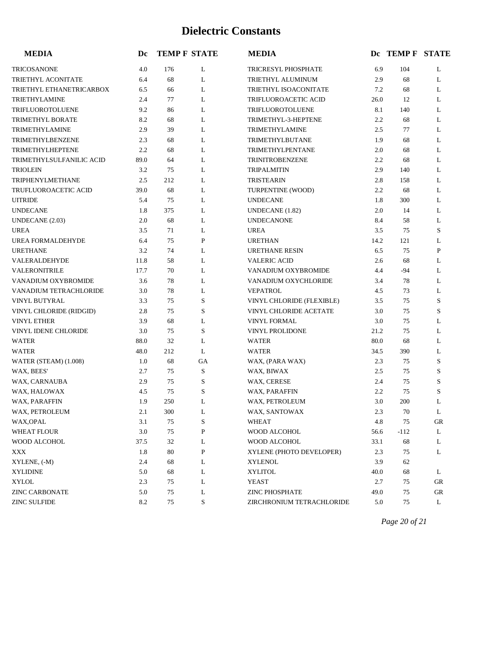| <b>MEDIA</b>              | Dc   |     | <b>TEMP F STATE</b> | <b>MEDIA</b>              |      | DC TEMP F STATE |    |
|---------------------------|------|-----|---------------------|---------------------------|------|-----------------|----|
| <b>TRICOSANONE</b>        | 4.0  | 176 | L                   | TRICRESYL PHOSPHATE       | 6.9  | 104             | L  |
| <b>TRIETHYL ACONITATE</b> | 6.4  | 68  | L                   | TRIETHYL ALUMINUM         | 2.9  | 68              | L  |
| TRIETHYL ETHANETRICARBOX  | 6.5  | 66  | L                   | TRIETHYL ISOACONITATE     | 7.2  | 68              | L  |
| <b>TRIETHYLAMINE</b>      | 2.4  | 77  | L                   | TRIFLUOROACETIC ACID      | 26.0 | 12              | L  |
| TRIFLUOROTOLUENE          | 9.2  | 86  | L                   | TRIFLUOROTOLUENE          | 8.1  | 140             | L  |
| TRIMETHYL BORATE          | 8.2  | 68  | L                   | TRIMETHYL-3-HEPTENE       | 2.2  | 68              | L  |
| TRIMETHYLAMINE            | 2.9  | 39  | L                   | <b>TRIMETHYLAMINE</b>     | 2.5  | 77              | L  |
| TRIMETHYLBENZENE          | 2.3  | 68  | L                   | TRIMETHYLBUTANE           | 1.9  | 68              | L  |
| TRIMETHYLHEPTENE          | 2.2  | 68  | L                   | TRIMETHYLPENTANE          | 2.0  | 68              | L  |
| TRIMETHYLSULFANILIC ACID  | 89.0 | 64  | L                   | <b>TRINITROBENZENE</b>    | 2.2  | 68              | L  |
| <b>TRIOLEIN</b>           | 3.2  | 75  | L                   | <b>TRIPALMITIN</b>        | 2.9  | 140             | L  |
| TRIPHENYLMETHANE          | 2.5  | 212 | L                   | <b>TRISTEARIN</b>         | 2.8  | 158             | L  |
| TRUFLUOROACETIC ACID      | 39.0 | 68  | L                   | TURPENTINE (WOOD)         | 2.2  | 68              | L  |
| <b>UITRIDE</b>            | 5.4  | 75  | L                   | <b>UNDECANE</b>           | 1.8  | 300             | L  |
| <b>UNDECANE</b>           | 1.8  | 375 | L                   | UNDECANE (1.82)           | 2.0  | 14              | L  |
| UNDECANE (2.03)           | 2.0  | 68  | L                   | <b>UNDECANONE</b>         | 8.4  | 58              | L  |
| <b>UREA</b>               | 3.5  | 71  | L                   | <b>UREA</b>               | 3.5  | 75              | S  |
| UREA FORMALDEHYDE         | 6.4  | 75  | P                   | <b>URETHAN</b>            | 14.2 | 121             | L  |
| <b>URETHANE</b>           | 3.2  | 74  | L                   | <b>URETHANE RESIN</b>     | 6.5  | 75              | P  |
| VALERALDEHYDE             | 11.8 | 58  | L                   | <b>VALERIC ACID</b>       | 2.6  | 68              | L  |
| VALERONITRILE             | 17.7 | 70  | L                   | VANADIUM OXYBROMIDE       | 4.4  | $-94$           | L  |
| VANADIUM OXYBROMIDE       | 3.6  | 78  | L                   | VANADIUM OXYCHLORIDE      | 3.4  | 78              | L  |
| VANADIUM TETRACHLORIDE    | 3.0  | 78  | L                   | <b>VEPATROL</b>           | 4.5  | 73              | L  |
| VINYL BUTYRAL             | 3.3  | 75  | S                   | VINYL CHLORIDE (FLEXIBLE) | 3.5  | 75              | S  |
| VINYL CHLORIDE (RIDGID)   | 2.8  | 75  | S                   | VINYL CHLORIDE ACETATE    | 3.0  | 75              | S  |
| <b>VINYL ETHER</b>        | 3.9  | 68  | L                   | <b>VINYL FORMAL</b>       | 3.0  | 75              | L  |
| VINYL IDENE CHLORIDE      | 3.0  | 75  | S                   | VINYL PROLIDONE           | 21.2 | 75              | L  |
| <b>WATER</b>              | 88.0 | 32  | L                   | <b>WATER</b>              | 80.0 | 68              | L  |
| <b>WATER</b>              | 48.0 | 212 | L                   | <b>WATER</b>              | 34.5 | 390             | L  |
| WATER (STEAM) (1.008)     | 1.0  | 68  | GA                  | WAX, (PARA WAX)           | 2.3  | 75              | S  |
| WAX, BEES'                | 2.7  | 75  | S                   | WAX, BIWAX                | 2.5  | 75              | S  |
| WAX, CARNAUBA             | 2.9  | 75  | S                   | WAX, CERESE               | 2.4  | 75              | S  |
| WAX, HALOWAX              | 4.5  | 75  | $\rm S$             | WAX, PARAFFIN             | 2.2  | 75              | S  |
| WAX, PARAFFIN             | 1.9  | 250 | L                   | WAX, PETROLEUM            | 3.0  | 200             | L  |
| WAX, PETROLEUM            | 2.1  | 300 | L                   | WAX, SANTOWAX             | 2.3  | 70              | L  |
| WAX, OPAL                 | 3.1  | 75  | S                   | <b>WHEAT</b>              | 4.8  | 75              | GR |
| <b>WHEAT FLOUR</b>        | 3.0  | 75  | P                   | WOOD ALCOHOL              | 56.6 | $-112$          | L  |
| WOOD ALCOHOL              | 37.5 | 32  | L                   | WOOD ALCOHOL              | 33.1 | 68              | L  |
| XXX                       | 1.8  | 80  | P                   | XYLENE (PHOTO DEVELOPER)  | 2.3  | 75              | L  |
| XYLENE, (-M)              | 2.4  | 68  | L                   | <b>XYLENOL</b>            | 3.9  | 62              |    |
| <b>XYLIDINE</b>           | 5.0  | 68  | L                   | <b>XYLITOL</b>            | 40.0 | 68              | L  |
| XYLOL                     | 2.3  | 75  | L                   | <b>YEAST</b>              | 2.7  | 75              | GR |
| <b>ZINC CARBONATE</b>     | 5.0  | 75  | L                   | <b>ZINC PHOSPHATE</b>     | 49.0 | 75              | GR |
| ZINC SULFIDE              | 8.2  | 75  | S                   | ZIRCHRONIUM TETRACHLORIDE | 5.0  | 75              | L  |

*Page 20 of 21*